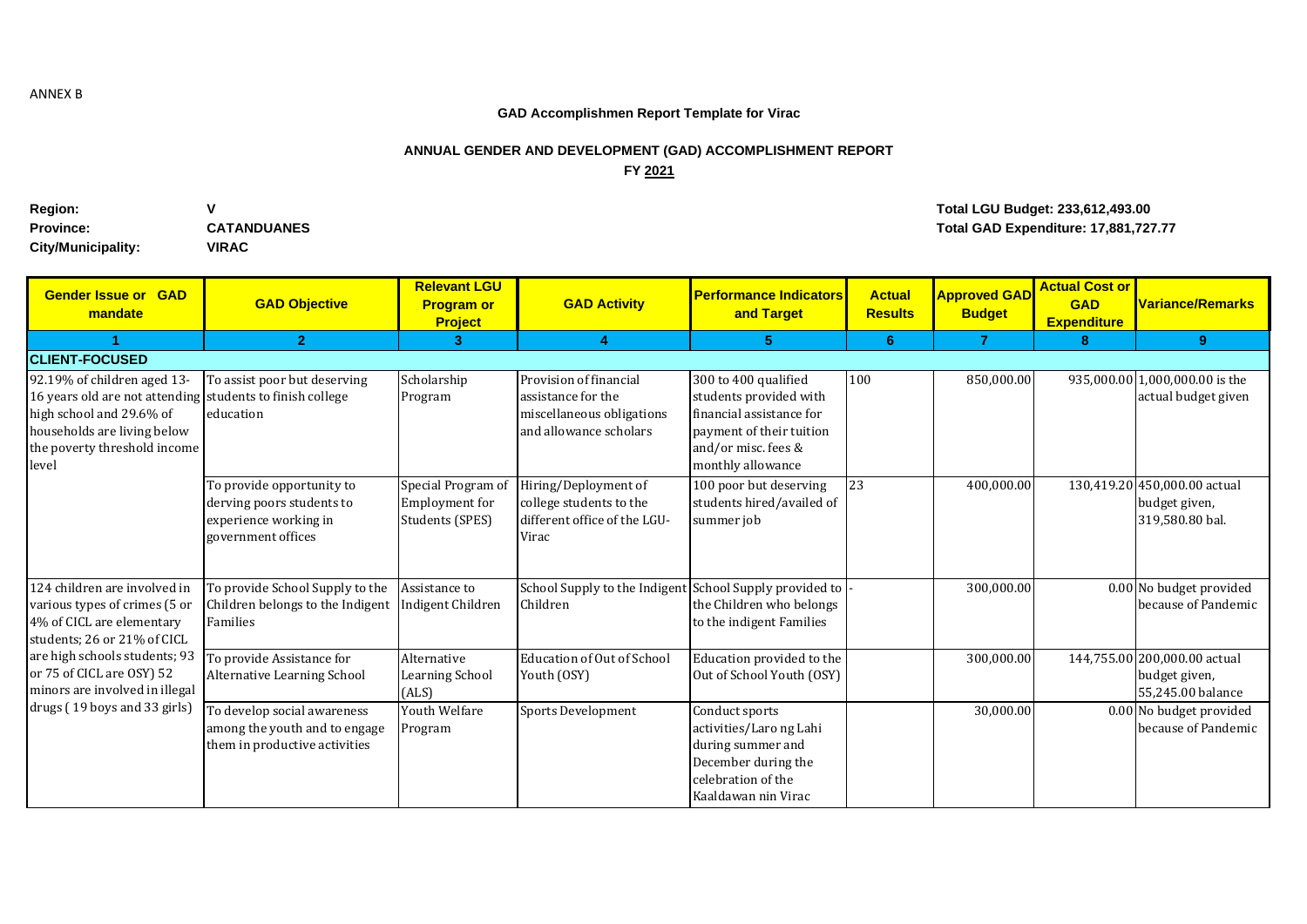## **GAD Accomplishmen Report Template for Virac**

## **ANNUAL GENDER AND DEVELOPMENT (GAD) ACCOMPLISHMENT REPORT FY 2021**

| <b>Region:</b>     | v                  |
|--------------------|--------------------|
| <b>Province:</b>   | <b>CATANDUANES</b> |
| City/Municipality: | <b>VIRAC</b>       |

## **Region: V Total LGU Budget: 233,612,493.00 Provided as a contract of the CATANDUANES Provided as a contract of the CATAN Total GAD Expenditure: 17,881,727.77**

| <b>Gender Issue or GAD</b><br>mandate                                                                                                                                                        | <b>GAD Objective</b>                                                                                  | <b>Relevant LGU</b><br><b>Program or</b><br><b>Project</b> | <b>GAD Activity</b>                                                                                 | <b>Performance Indicators</b><br>and Target                                                                                                        | <b>Actual</b><br><b>Results</b> | <b>Approved GAD</b><br><b>Budget</b> | <b>Actual Cost or</b><br><b>GAD</b><br><b>Expenditure</b> | <b>Variance/Remarks</b>                                            |
|----------------------------------------------------------------------------------------------------------------------------------------------------------------------------------------------|-------------------------------------------------------------------------------------------------------|------------------------------------------------------------|-----------------------------------------------------------------------------------------------------|----------------------------------------------------------------------------------------------------------------------------------------------------|---------------------------------|--------------------------------------|-----------------------------------------------------------|--------------------------------------------------------------------|
|                                                                                                                                                                                              | $\overline{2}$                                                                                        | $\overline{3}$                                             | $\overline{4}$                                                                                      | 5                                                                                                                                                  | 6                               | $\overline{7}$                       | 8                                                         | 9                                                                  |
| <b>ICLIENT-FOCUSED</b>                                                                                                                                                                       |                                                                                                       |                                                            |                                                                                                     |                                                                                                                                                    |                                 |                                      |                                                           |                                                                    |
| 92.19% of children aged 13-<br>16 years old are not attending students to finish college<br>high school and 29.6% of<br>households are living below<br>the poverty threshold income<br>level | To assist poor but deserving<br>education                                                             | Scholarship<br>Program                                     | Provision of financial<br>assistance for the<br>miscellaneous obligations<br>and allowance scholars | 300 to 400 qualified<br>students provided with<br>financial assistance for<br>payment of their tuition<br>and/or misc. fees &<br>monthly allowance | 100                             | 850,000.00                           |                                                           | 935,000.00 1,000,000.00 is the<br>actual budget given              |
|                                                                                                                                                                                              | To provide opportunity to<br>derving poors students to<br>experience working in<br>government offices | Special Program of<br>Employment for<br>Students (SPES)    | Hiring/Deployment of<br>college students to the<br>different office of the LGU-<br>Virac            | 100 poor but deserving<br>students hired/availed of<br>summer job                                                                                  | 23                              | 400,000.00                           |                                                           | 130,419.20 450,000.00 actual<br>budget given,<br>319,580.80 bal.   |
| 124 children are involved in<br>various types of crimes (5 or<br>4% of CICL are elementary<br>students; 26 or 21% of CICL                                                                    | To provide School Supply to the<br>Children belongs to the Indigent<br>Families                       | Assistance to<br>Indigent Children                         | School Supply to the Indigent<br>Children                                                           | School Supply provided to<br>the Children who belongs<br>to the indigent Families                                                                  |                                 | 300,000.00                           |                                                           | 0.00 No budget provided<br>because of Pandemic                     |
| are high schools students; 93<br>or 75 of CICL are OSY) 52<br>minors are involved in illegal                                                                                                 | To provide Assistance for<br>Alternative Learning School                                              | Alternative<br>Learning School<br>(ALS)                    | Education of Out of School<br>Youth (OSY)                                                           | Education provided to the<br>Out of School Youth (OSY)                                                                                             |                                 | 300,000.00                           |                                                           | 144,755.00 200,000.00 actual<br>budget given,<br>55,245.00 balance |
| drugs (19 boys and 33 girls)                                                                                                                                                                 | To develop social awareness<br>among the youth and to engage<br>them in productive activities         | Youth Welfare<br>Program                                   | <b>Sports Development</b>                                                                           | Conduct sports<br>activities/Laro ng Lahi<br>during summer and<br>December during the<br>celebration of the<br>Kaaldawan nin Virac                 |                                 | 30,000.00                            |                                                           | 0.00 No budget provided<br>because of Pandemic                     |

ANNEX B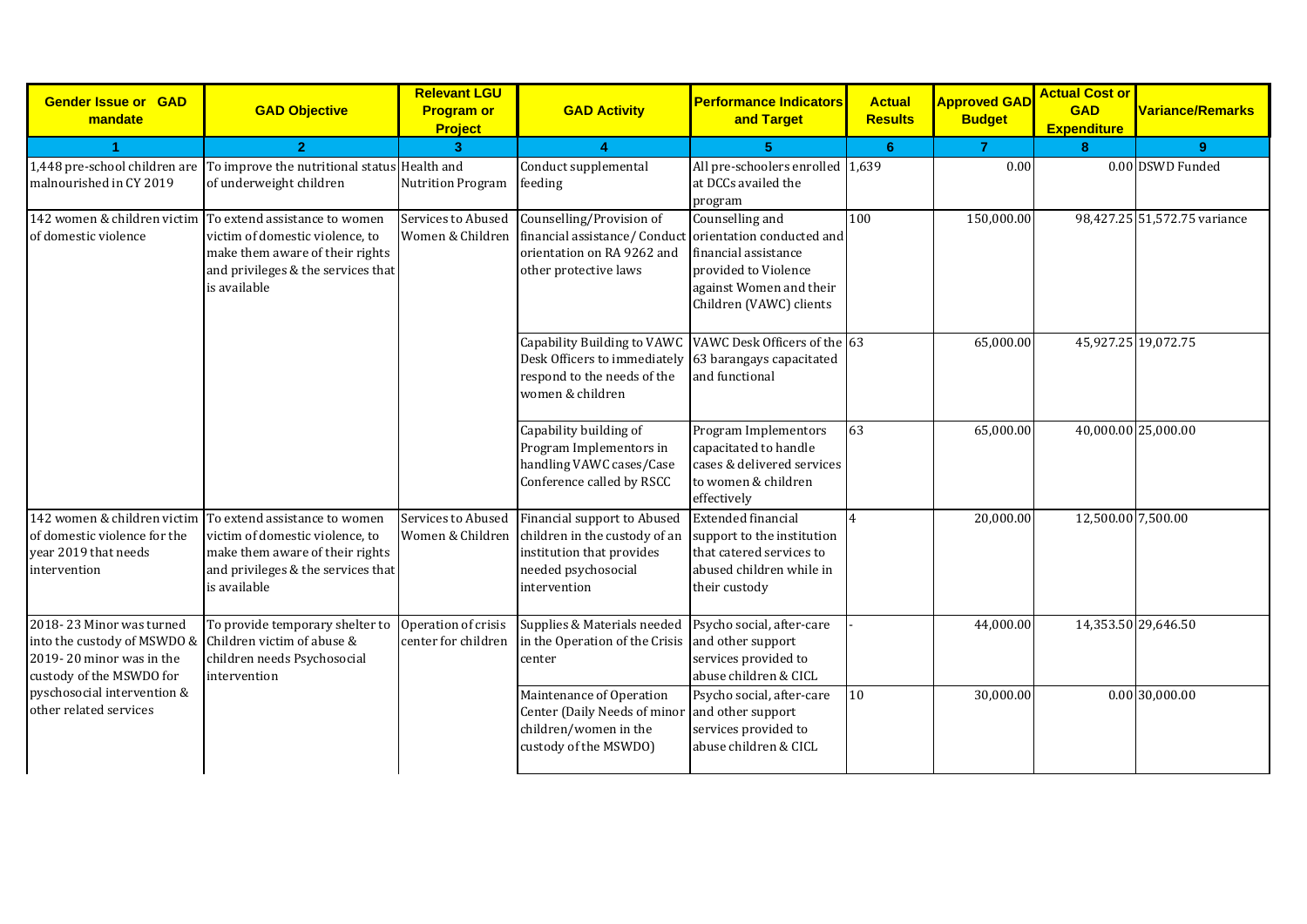| <b>Gender Issue or GAD</b><br>mandate                                                                           | <b>GAD Objective</b>                                                                                                                                                                  | <b>Relevant LGU</b><br><b>Program or</b><br><b>Project</b> | <b>GAD Activity</b>                                                                                                                                                  | <b>Performance Indicators</b><br>and Target                                                                                      | <b>Actual</b><br><b>Results</b> | <b>Approved GAD</b><br><b>Budget</b> | <b>Actual Cost or</b><br><b>GAD</b><br><b>Expenditure</b> | <b>Variance/Remarks</b>      |
|-----------------------------------------------------------------------------------------------------------------|---------------------------------------------------------------------------------------------------------------------------------------------------------------------------------------|------------------------------------------------------------|----------------------------------------------------------------------------------------------------------------------------------------------------------------------|----------------------------------------------------------------------------------------------------------------------------------|---------------------------------|--------------------------------------|-----------------------------------------------------------|------------------------------|
|                                                                                                                 | $\overline{2}$                                                                                                                                                                        | $\overline{3}$                                             | $\boldsymbol{\Lambda}$                                                                                                                                               |                                                                                                                                  | 6                               | $\overline{7}$                       | 8                                                         | $9^{\circ}$                  |
| malnourished in CY 2019                                                                                         | 1,448 pre-school children are To improve the nutritional status Health and<br>of underweight children                                                                                 | <b>Nutrition Program</b>                                   | Conduct supplemental<br>feeding                                                                                                                                      | All pre-schoolers enrolled 1,639<br>at DCCs availed the<br>program                                                               |                                 | 0.00                                 |                                                           | 0.00 DSWD Funded             |
| of domestic violence                                                                                            | 142 women & children victim To extend assistance to women<br>victim of domestic violence, to<br>make them aware of their rights<br>and privileges & the services that<br>is available | Services to Abused<br>Women & Children                     | Counselling/Provision of<br>financial assistance/Conduct orientation conducted and<br>orientation on RA 9262 and<br>other protective laws                            | Counselling and<br>financial assistance<br>provided to Violence<br>against Women and their<br>Children (VAWC) clients            | 100                             | 150,000.00                           |                                                           | 98,427.25 51,572.75 variance |
|                                                                                                                 |                                                                                                                                                                                       |                                                            | Capability Building to VAWC VAWC Desk Officers of the 63<br>Desk Officers to immediately 63 barangays capacitated<br>respond to the needs of the<br>women & children | and functional                                                                                                                   |                                 | 65,000.00                            | 45,927.25 19,072.75                                       |                              |
|                                                                                                                 |                                                                                                                                                                                       |                                                            | Capability building of<br>Program Implementors in<br>handling VAWC cases/Case<br>Conference called by RSCC                                                           | Program Implementors<br>capacitated to handle<br>cases & delivered services<br>to women & children<br>effectively                | 63                              | 65,000.00                            | 40,000.00 25,000.00                                       |                              |
| 142 women & children victim<br>of domestic violence for the<br>year 2019 that needs<br>intervention             | To extend assistance to women<br>victim of domestic violence, to<br>make them aware of their rights<br>and privileges & the services that<br>is available                             | Services to Abused<br>Women & Children                     | Financial support to Abused<br>children in the custody of an<br>institution that provides<br>needed psychosocial<br>intervention                                     | <b>Extended financial</b><br>support to the institution<br>that catered services to<br>abused children while in<br>their custody | $\overline{4}$                  | 20,000.00                            | 12,500.00 7,500.00                                        |                              |
| 2018-23 Minor was turned<br>into the custody of MSWDO &<br>2019-20 minor was in the<br>custody of the MSWDO for | To provide temporary shelter to<br>Children victim of abuse &<br>children needs Psychosocial<br>intervention                                                                          | Operation of crisis<br>center for children                 | Supplies & Materials needed<br>in the Operation of the Crisis<br>center                                                                                              | Psycho social, after-care<br>and other support<br>services provided to<br>abuse children & CICL                                  |                                 | 44,000.00                            | 14,353.50 29,646.50                                       |                              |
| pyschosocial intervention &<br>other related services                                                           |                                                                                                                                                                                       |                                                            | Maintenance of Operation<br>Center (Daily Needs of minor<br>children/women in the<br>custody of the MSWDO)                                                           | Psycho social, after-care<br>and other support<br>services provided to<br>abuse children & CICL                                  | 10                              | 30,000.00                            |                                                           | 0.0030,000.00                |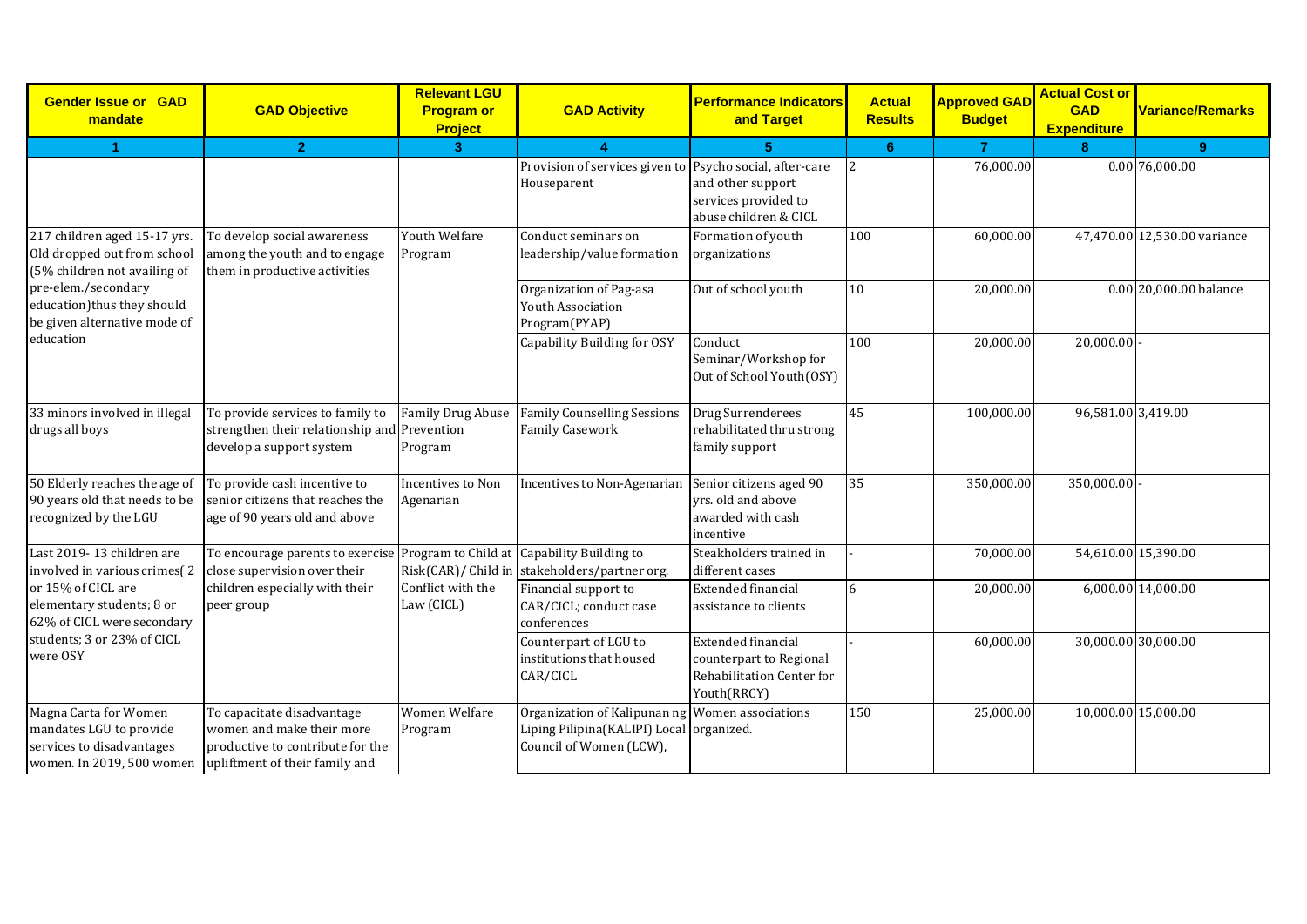| <b>Gender Issue or GAD</b><br>mandate                                                                                                     | <b>GAD Objective</b>                                                                                         | <b>Relevant LGU</b><br><b>Program or</b> | <b>GAD Activity</b>                                                                                                    | <b>Performance Indicators</b><br>and Target                                                      | <b>Actual</b><br><b>Results</b> | <b>Approved GAD</b><br><b>Budget</b> | <b>Actual Cost or</b><br><b>GAD</b> | <b>Variance/Remarks</b>      |
|-------------------------------------------------------------------------------------------------------------------------------------------|--------------------------------------------------------------------------------------------------------------|------------------------------------------|------------------------------------------------------------------------------------------------------------------------|--------------------------------------------------------------------------------------------------|---------------------------------|--------------------------------------|-------------------------------------|------------------------------|
|                                                                                                                                           |                                                                                                              | Project                                  |                                                                                                                        |                                                                                                  |                                 |                                      | <b>Expenditure</b>                  |                              |
| 4                                                                                                                                         | $\overline{2}$                                                                                               | 3 <sup>2</sup>                           |                                                                                                                        | 5                                                                                                | 6 <sup>1</sup>                  | $\overline{7}$                       | 8                                   | 9                            |
|                                                                                                                                           |                                                                                                              |                                          | Provision of services given to Psycho social, after-care<br>Houseparent                                                | and other support<br>services provided to<br>abuse children & CICL                               | 2                               | 76,000.00                            |                                     | 0.00 76,000.00               |
| 217 children aged 15-17 yrs.<br>Old dropped out from school<br>(5% children not availing of                                               | To develop social awareness<br>among the youth and to engage<br>them in productive activities                | Youth Welfare<br>Program                 | Conduct seminars on<br>leadership/value formation                                                                      | Formation of youth<br>organizations                                                              | 100                             | 60,000.00                            |                                     | 47,470.00 12,530.00 variance |
| pre-elem./secondary<br>education)thus they should<br>be given alternative mode of                                                         |                                                                                                              |                                          | Organization of Pag-asa<br>Youth Association<br>Program(PYAP)                                                          | Out of school youth                                                                              | 10                              | 20,000.00                            |                                     | 0.00 20,000.00 balance       |
| education                                                                                                                                 |                                                                                                              |                                          | Capability Building for OSY                                                                                            | Conduct<br>Seminar/Workshop for<br>Out of School Youth(OSY)                                      | 100                             | 20,000.00                            | 20,000.00                           |                              |
| 33 minors involved in illegal<br>drugs all boys                                                                                           | To provide services to family to<br>strengthen their relationship and Prevention<br>develop a support system | <b>Family Drug Abuse</b><br>Program      | <b>Family Counselling Sessions</b><br><b>Family Casework</b>                                                           | Drug Surrenderees<br>rehabilitated thru strong<br>family support                                 | 45                              | 100,000.00                           | 96,581.00 3,419.00                  |                              |
| 50 Elderly reaches the age of<br>90 years old that needs to be<br>recognized by the LGU                                                   | To provide cash incentive to<br>senior citizens that reaches the<br>age of 90 years old and above            | Incentives to Non<br>Agenarian           | Incentives to Non-Agenarian                                                                                            | Senior citizens aged 90<br>vrs. old and above<br>awarded with cash<br>incentive                  | 35                              | 350,000.00                           | 350,000.00                          |                              |
| Last 2019-13 children are<br>involved in various crimes(2                                                                                 | To encourage parents to exercise<br>close supervision over their                                             |                                          | Program to Child at Capability Building to<br>Risk(CAR)/ Child in stakeholders/partner org.                            | Steakholders trained in<br>different cases                                                       |                                 | 70,000.00                            | 54,610.00 15,390.00                 |                              |
| or 15% of CICL are<br>elementary students; 8 or<br>62% of CICL were secondary                                                             | children especially with their<br>peer group                                                                 | Conflict with the<br>Law (CICL)          | Financial support to<br>CAR/CICL; conduct case<br>conferences                                                          | <b>Extended financial</b><br>assistance to clients                                               | 6                               | 20,000.00                            |                                     | 6,000.00 14,000.00           |
| students; 3 or 23% of CICL<br>were OSY                                                                                                    |                                                                                                              |                                          | Counterpart of LGU to<br>institutions that housed<br>CAR/CICL                                                          | <b>Extended financial</b><br>counterpart to Regional<br>Rehabilitation Center for<br>Youth(RRCY) |                                 | 60,000.00                            | 30,000.00 30,000.00                 |                              |
| Magna Carta for Women<br>mandates LGU to provide<br>services to disadvantages<br>women. In 2019, 500 women upliftment of their family and | To capacitate disadvantage<br>women and make their more<br>productive to contribute for the                  | <b>Women Welfare</b><br>Program          | Organization of Kalipunan ng Women associations<br>Liping Pilipina(KALIPI) Local organized.<br>Council of Women (LCW), |                                                                                                  | 150                             | 25,000.00                            | 10,000.00 15,000.00                 |                              |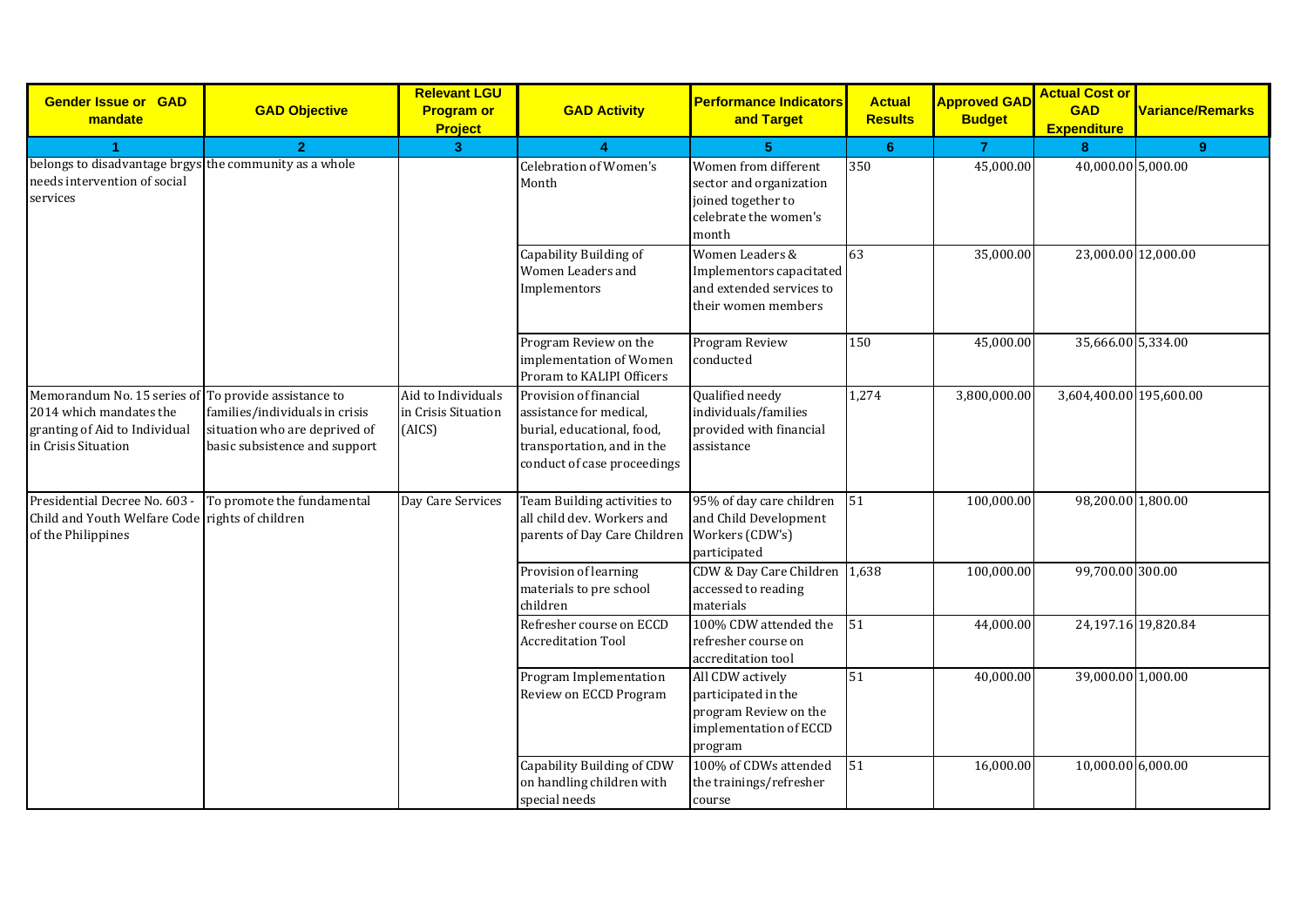| <b>Gender Issue or GAD</b><br>mandate                                                                                                   | <b>GAD Objective</b>                                                                             | <b>Relevant LGU</b><br><b>Program or</b><br><b>Project</b> | <b>GAD Activity</b>                                                                                                                          | <b>Performance Indicators</b><br>and Target                                                             | <b>Actual</b><br><b>Results</b> | <b>Approved GAD</b><br><b>Budget</b> | <b>Actual Cost or</b><br><b>GAD</b><br><b>Expenditure</b> | <b>Variance/Remarks</b> |
|-----------------------------------------------------------------------------------------------------------------------------------------|--------------------------------------------------------------------------------------------------|------------------------------------------------------------|----------------------------------------------------------------------------------------------------------------------------------------------|---------------------------------------------------------------------------------------------------------|---------------------------------|--------------------------------------|-----------------------------------------------------------|-------------------------|
| $\blacktriangleleft$                                                                                                                    | $\overline{2}$                                                                                   | 3 <sup>1</sup>                                             |                                                                                                                                              | 5                                                                                                       | 6                               | $\overline{7}$                       | 8                                                         | $\boldsymbol{9}$        |
| belongs to disadvantage brgys the community as a whole<br>needs intervention of social<br>services                                      |                                                                                                  |                                                            | <b>Celebration of Women's</b><br>Month                                                                                                       | Women from different<br>sector and organization<br>joined together to<br>celebrate the women's<br>month | 350                             | 45,000.00                            | 40,000.00 5,000.00                                        |                         |
|                                                                                                                                         |                                                                                                  |                                                            | Capability Building of<br>Women Leaders and<br>Implementors                                                                                  | Women Leaders &<br>Implementors capacitated<br>and extended services to<br>their women members          | 63                              | 35,000.00                            | 23,000.00 12,000.00                                       |                         |
|                                                                                                                                         |                                                                                                  |                                                            | Program Review on the<br>implementation of Women<br>Proram to KALIPI Officers                                                                | Program Review<br>conducted                                                                             | 150                             | 45,000.00                            | 35,666.00 5,334.00                                        |                         |
| Memorandum No. 15 series of To provide assistance to<br>2014 which mandates the<br>granting of Aid to Individual<br>in Crisis Situation | families/individuals in crisis<br>situation who are deprived of<br>basic subsistence and support | Aid to Individuals<br>in Crisis Situation<br>(AICS)        | Provision of financial<br>assistance for medical,<br>burial, educational, food,<br>transportation, and in the<br>conduct of case proceedings | Qualified needy<br>individuals/families<br>provided with financial<br>assistance                        | 1,274                           | 3,800,000.00                         | 3,604,400.00 195,600.00                                   |                         |
| Presidential Decree No. 603 - To promote the fundamental<br>Child and Youth Welfare Code rights of children<br>of the Philippines       |                                                                                                  | Day Care Services                                          | Team Building activities to<br>all child dev. Workers and<br>parents of Day Care Children                                                    | 95% of day care children<br>and Child Development<br>Workers (CDW's)<br>participated                    | 51                              | 100,000.00                           | 98,200.00 1,800.00                                        |                         |
|                                                                                                                                         |                                                                                                  |                                                            | Provision of learning<br>materials to pre school<br>children                                                                                 | CDW & Day Care Children<br>accessed to reading<br>materials                                             | 1,638                           | 100,000.00                           | 99,700.00 300.00                                          |                         |
|                                                                                                                                         |                                                                                                  |                                                            | Refresher course on ECCD<br><b>Accreditation Tool</b>                                                                                        | 100% CDW attended the<br>refresher course on<br>accreditation tool                                      | 51                              | 44,000.00                            | 24,197.16 19,820.84                                       |                         |
|                                                                                                                                         |                                                                                                  |                                                            | Program Implementation<br>Review on ECCD Program                                                                                             | All CDW actively<br>participated in the<br>program Review on the<br>implementation of ECCD<br>program   | 51                              | 40,000.00                            | 39,000.00 1,000.00                                        |                         |
|                                                                                                                                         |                                                                                                  |                                                            | Capability Building of CDW<br>on handling children with<br>special needs                                                                     | 100% of CDWs attended<br>the trainings/refresher<br>course                                              | 51                              | 16,000.00                            | 10,000.00 6,000.00                                        |                         |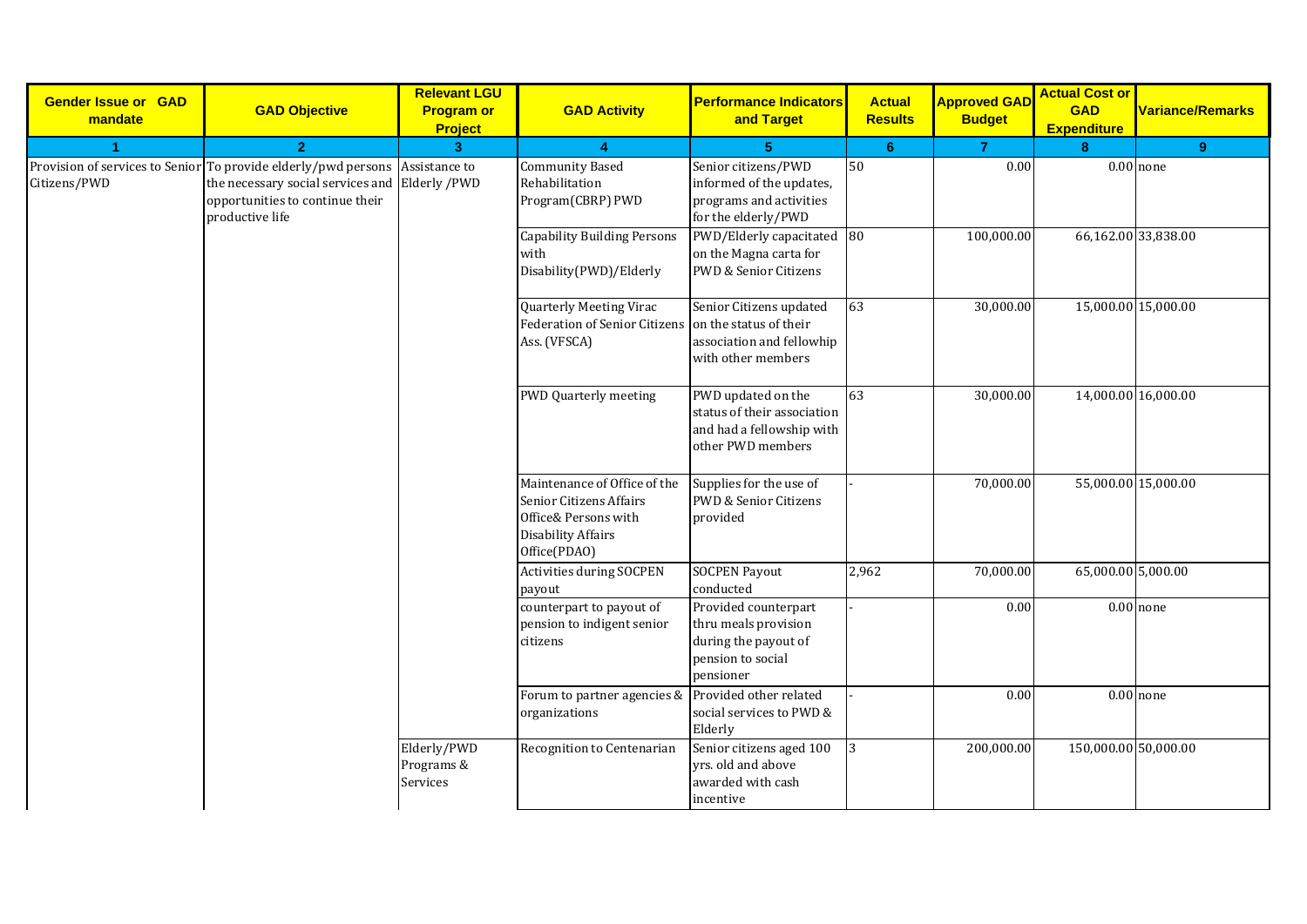| <b>Gender Issue or GAD</b><br>mandate | <b>GAD Objective</b>                                                                                                                                                                 | <b>Relevant LGU</b><br><b>Program or</b><br><b>Project</b> | <b>GAD Activity</b>                                                                                                   | <b>Performance Indicators</b><br>and Target                                                            | <b>Actual</b><br><b>Results</b> | <b>Approved GAD</b><br><b>Budget</b> | <b>Actual Cost or</b><br><b>GAD</b><br><b>Expenditure</b> | Variance/Remarks |
|---------------------------------------|--------------------------------------------------------------------------------------------------------------------------------------------------------------------------------------|------------------------------------------------------------|-----------------------------------------------------------------------------------------------------------------------|--------------------------------------------------------------------------------------------------------|---------------------------------|--------------------------------------|-----------------------------------------------------------|------------------|
|                                       | $\overline{2}$                                                                                                                                                                       | 3 <sup>1</sup>                                             | $\blacktriangle$                                                                                                      | 5                                                                                                      | 6 <sup>°</sup>                  | $\overline{7}$                       | 8                                                         | 9                |
| Citizens/PWD                          | Provision of services to Senior To provide elderly/pwd persons Assistance to<br>the necessary social services and Elderly /PWD<br>opportunities to continue their<br>productive life |                                                            | <b>Community Based</b><br>Rehabilitation<br>Program(CBRP) PWD                                                         | Senior citizens/PWD<br>informed of the updates,<br>programs and activities<br>for the elderly/PWD      | 50                              | 0.00                                 |                                                           | $0.00$ none      |
|                                       |                                                                                                                                                                                      |                                                            | <b>Capability Building Persons</b><br>with<br>Disability(PWD)/Elderly                                                 | PWD/Elderly capacitated 80<br>on the Magna carta for<br>PWD & Senior Citizens                          |                                 | 100,000.00                           | 66,162.00 33,838.00                                       |                  |
|                                       |                                                                                                                                                                                      |                                                            | <b>Quarterly Meeting Virac</b><br><b>Federation of Senior Citizens</b><br>Ass. (VFSCA)                                | Senior Citizens updated<br>on the status of their<br>association and fellowhip<br>with other members   | 63                              | 30,000.00                            | 15,000.00 15,000.00                                       |                  |
|                                       |                                                                                                                                                                                      |                                                            | <b>PWD Quarterly meeting</b>                                                                                          | PWD updated on the<br>status of their association<br>and had a fellowship with<br>other PWD members    | 63                              | 30,000.00                            | 14,000.00 16,000.00                                       |                  |
|                                       |                                                                                                                                                                                      |                                                            | Maintenance of Office of the<br>Senior Citizens Affairs<br>Office& Persons with<br>Disability Affairs<br>Office(PDAO) | Supplies for the use of<br>PWD & Senior Citizens<br>provided                                           |                                 | 70,000.00                            | 55,000.00 15,000.00                                       |                  |
|                                       |                                                                                                                                                                                      |                                                            | Activities during SOCPEN<br>payout                                                                                    | <b>SOCPEN Payout</b><br>conducted                                                                      | 2,962                           | 70,000.00                            | 65,000.00 5,000.00                                        |                  |
|                                       |                                                                                                                                                                                      |                                                            | counterpart to payout of<br>pension to indigent senior<br>citizens                                                    | Provided counterpart<br>thru meals provision<br>during the payout of<br>pension to social<br>pensioner |                                 | 0.00                                 |                                                           | $0.00$ none      |
|                                       |                                                                                                                                                                                      |                                                            | Forum to partner agencies & Provided other related<br>organizations                                                   | social services to PWD &<br>Elderly                                                                    |                                 | 0.00                                 |                                                           | $0.00$ none      |
|                                       |                                                                                                                                                                                      | Elderly/PWD<br>Programs &<br>Services                      | Recognition to Centenarian                                                                                            | Senior citizens aged 100<br>yrs. old and above<br>awarded with cash<br>incentive                       | 3                               | 200,000.00                           | 150,000.00 50,000.00                                      |                  |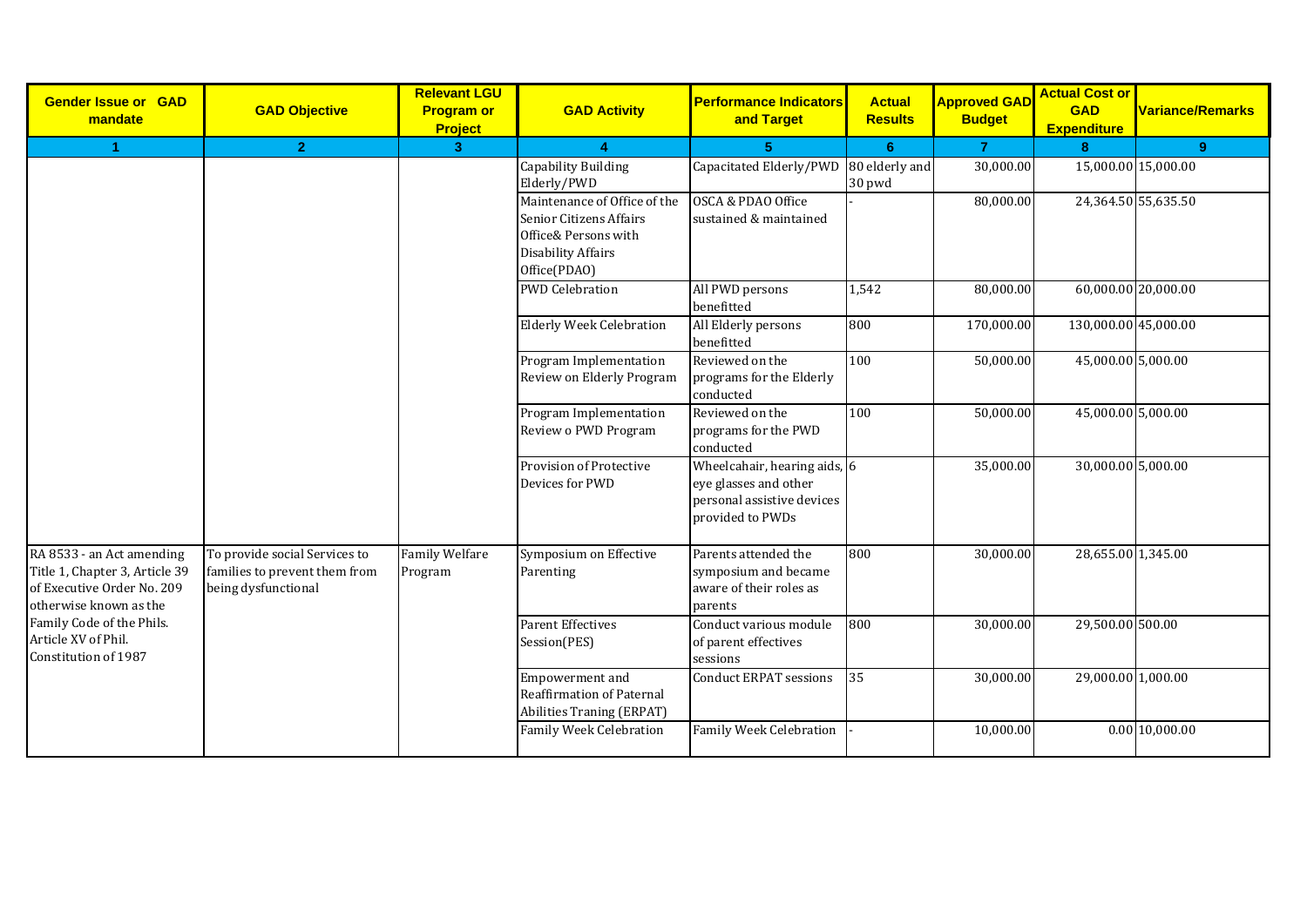| <b>Gender Issue or GAD</b><br>mandate                                                                               | <b>GAD Objective</b>                                                                  | <b>Relevant LGU</b><br><b>Program or</b><br><b>Project</b> | <b>GAD Activity</b>                                                                                                                 | <b>Performance Indicators</b><br>and Target                                                             | <b>Actual</b><br><b>Results</b> | <b>Approved GAD</b><br><b>Budget</b> | <b>Actual Cost or</b><br><b>GAD</b><br><b>Expenditure</b> | Variance/Remarks    |
|---------------------------------------------------------------------------------------------------------------------|---------------------------------------------------------------------------------------|------------------------------------------------------------|-------------------------------------------------------------------------------------------------------------------------------------|---------------------------------------------------------------------------------------------------------|---------------------------------|--------------------------------------|-----------------------------------------------------------|---------------------|
| $\blacktriangleleft$                                                                                                | $\overline{2}$                                                                        | 3 <sup>°</sup>                                             |                                                                                                                                     | 5                                                                                                       | 6                               | $\mathbf{7}$                         | 8                                                         | 9                   |
|                                                                                                                     |                                                                                       |                                                            | Capability Building<br>Elderly/PWD                                                                                                  | Capacitated Elderly/PWD                                                                                 | 80 elderly and<br>30 pwd        | 30,000.00                            | 15,000.00 15,000.00                                       |                     |
|                                                                                                                     |                                                                                       |                                                            | Maintenance of Office of the<br><b>Senior Citizens Affairs</b><br>Office& Persons with<br><b>Disability Affairs</b><br>Office(PDAO) | OSCA & PDAO Office<br>sustained & maintained                                                            |                                 | 80,000.00                            |                                                           | 24,364.50 55,635.50 |
|                                                                                                                     |                                                                                       |                                                            | <b>PWD Celebration</b>                                                                                                              | All PWD persons<br>benefitted                                                                           | 1,542                           | 80,000.00                            | 60,000.00 20,000.00                                       |                     |
|                                                                                                                     |                                                                                       |                                                            | <b>Elderly Week Celebration</b>                                                                                                     | All Elderly persons<br>benefitted                                                                       | 800                             | 170,000.00                           | 130,000.00 45,000.00                                      |                     |
|                                                                                                                     |                                                                                       |                                                            | Program Implementation<br>Review on Elderly Program                                                                                 | Reviewed on the<br>programs for the Elderly<br>conducted                                                | 100                             | 50,000.00                            | 45,000.00 5,000.00                                        |                     |
|                                                                                                                     |                                                                                       |                                                            | Program Implementation<br>Review o PWD Program                                                                                      | Reviewed on the<br>programs for the PWD<br>conducted                                                    | 100                             | 50,000.00                            | 45,000.00 5,000.00                                        |                     |
|                                                                                                                     |                                                                                       |                                                            | Provision of Protective<br>Devices for PWD                                                                                          | Wheelcahair, hearing aids, 6<br>eye glasses and other<br>personal assistive devices<br>provided to PWDs |                                 | 35,000.00                            | 30,000.00 5,000.00                                        |                     |
| RA 8533 - an Act amending<br>Title 1, Chapter 3, Article 39<br>of Executive Order No. 209<br>otherwise known as the | To provide social Services to<br>families to prevent them from<br>being dysfunctional | <b>Family Welfare</b><br>Program                           | Symposium on Effective<br>Parenting                                                                                                 | Parents attended the<br>symposium and became<br>aware of their roles as<br>parents                      | 800                             | 30,000.00                            | 28,655.00 1,345.00                                        |                     |
| Family Code of the Phils.<br>Article XV of Phil.<br>Constitution of 1987                                            |                                                                                       |                                                            | <b>Parent Effectives</b><br>Session(PES)                                                                                            | Conduct various module<br>of parent effectives<br>sessions                                              | 800                             | 30,000.00                            | 29,500.00 500.00                                          |                     |
|                                                                                                                     |                                                                                       |                                                            | Empowerment and<br>Reaffirmation of Paternal<br>Abilities Traning (ERPAT)                                                           | <b>Conduct ERPAT sessions</b>                                                                           | 35                              | 30,000.00                            | 29,000.00 1,000.00                                        |                     |
|                                                                                                                     |                                                                                       |                                                            | <b>Family Week Celebration</b>                                                                                                      | Family Week Celebration                                                                                 |                                 | 10,000.00                            |                                                           | 0.00 10,000.00      |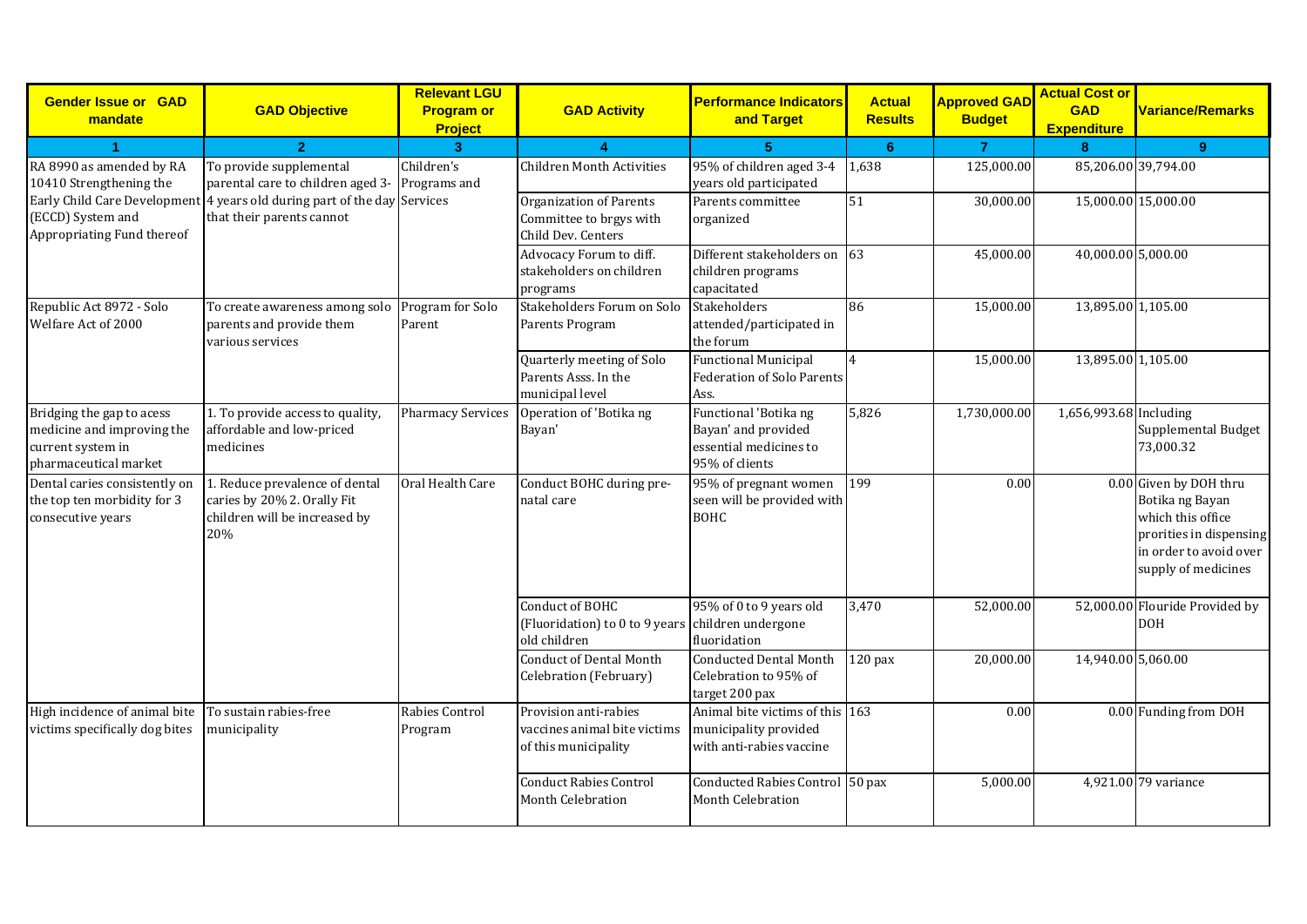| <b>Gender Issue or GAD</b><br>mandate                                                                 | <b>GAD Objective</b>                                                                                  | <b>Relevant LGU</b><br><b>Program or</b><br><b>Project</b> | <b>GAD Activity</b>                                                                  | <b>Performance Indicators</b><br>and Target                                              | <b>Actual</b><br><b>Results</b> | <b>Approved GAD</b><br><b>Budget</b> | <b>Actual Cost or</b><br><b>GAD</b><br><b>Expenditure</b> | <b>Variance/Remarks</b>                                                                                                                    |
|-------------------------------------------------------------------------------------------------------|-------------------------------------------------------------------------------------------------------|------------------------------------------------------------|--------------------------------------------------------------------------------------|------------------------------------------------------------------------------------------|---------------------------------|--------------------------------------|-----------------------------------------------------------|--------------------------------------------------------------------------------------------------------------------------------------------|
| -1                                                                                                    | $\overline{2}$                                                                                        | 3 <sup>1</sup>                                             |                                                                                      | 5                                                                                        | 6                               | $\overline{7}$                       | 8                                                         | 9                                                                                                                                          |
| RA 8990 as amended by RA<br>10410 Strengthening the                                                   | To provide supplemental<br>parental care to children aged 3-                                          | Children's<br>Programs and                                 | <b>Children Month Activities</b>                                                     | 95% of children aged 3-4<br>years old participated                                       | 1,638                           | 125,000.00                           | 85,206.00 39,794.00                                       |                                                                                                                                            |
| (ECCD) System and<br>Appropriating Fund thereof                                                       | Early Child Care Development 4 years old during part of the day Services<br>that their parents cannot |                                                            | <b>Organization of Parents</b><br>Committee to brgys with<br>Child Dev. Centers      | Parents committee<br>organized                                                           | 51                              | 30,000.00                            | 15,000.00 15,000.00                                       |                                                                                                                                            |
|                                                                                                       |                                                                                                       |                                                            | Advocacy Forum to diff.<br>stakeholders on children<br>programs                      | Different stakeholders on<br>children programs<br>capacitated                            | 63                              | 45,000.00                            | 40,000.00 5,000.00                                        |                                                                                                                                            |
| Republic Act 8972 - Solo<br>Welfare Act of 2000                                                       | To create awareness among solo<br>parents and provide them<br>various services                        | Program for Solo<br>Parent                                 | Stakeholders Forum on Solo<br>Parents Program                                        | <b>Stakeholders</b><br>attended/participated in<br>the forum                             | 86                              | 15,000.00                            | 13,895.00 1,105.00                                        |                                                                                                                                            |
|                                                                                                       |                                                                                                       |                                                            | Quarterly meeting of Solo<br>Parents Asss. In the<br>municipal level                 | <b>Functional Municipal</b><br><b>Federation of Solo Parents</b><br>Ass.                 | 4                               | 15,000.00                            | 13,895.00 1,105.00                                        |                                                                                                                                            |
| Bridging the gap to acess<br>medicine and improving the<br>current system in<br>pharmaceutical market | 1. To provide access to quality,<br>affordable and low-priced<br>medicines                            | <b>Pharmacy Services</b>                                   | Operation of 'Botika ng<br>Bayan'                                                    | Functional 'Botika ng<br>Bayan' and provided<br>essential medicines to<br>95% of clients | 5,826                           | 1,730,000.00                         | 1,656,993.68 Including                                    | Supplemental Budget<br>73,000.32                                                                                                           |
| Dental caries consistently on<br>the top ten morbidity for 3<br>consecutive years                     | 1. Reduce prevalence of dental<br>caries by 20% 2. Orally Fit<br>children will be increased by<br>20% | Oral Health Care                                           | Conduct BOHC during pre-<br>natal care                                               | 95% of pregnant women<br>seen will be provided with<br><b>BOHC</b>                       | 199                             | 0.00                                 |                                                           | 0.00 Given by DOH thru<br>Botika ng Bayan<br>which this office<br>prorities in dispensing<br>in order to avoid over<br>supply of medicines |
|                                                                                                       |                                                                                                       |                                                            | Conduct of BOHC<br>(Fluoridation) to 0 to 9 years children undergone<br>old children | 95% of 0 to 9 years old<br>fluoridation                                                  | 3,470                           | 52,000.00                            |                                                           | 52,000.00 Flouride Provided by<br><b>DOH</b>                                                                                               |
|                                                                                                       |                                                                                                       |                                                            | <b>Conduct of Dental Month</b><br>Celebration (February)                             | <b>Conducted Dental Month</b><br>Celebration to 95% of<br>target 200 pax                 | $120$ pax                       | 20,000.00                            | 14,940.00 5,060.00                                        |                                                                                                                                            |
| High incidence of animal bite<br>victims specifically dog bites                                       | To sustain rabies-free<br>municipality                                                                | Rabies Control<br>Program                                  | Provision anti-rabies<br>vaccines animal bite victims<br>of this municipality        | Animal bite victims of this 163<br>municipality provided<br>with anti-rabies vaccine     |                                 | 0.00                                 |                                                           | 0.00 Funding from DOH                                                                                                                      |
|                                                                                                       |                                                                                                       |                                                            | <b>Conduct Rabies Control</b><br><b>Month Celebration</b>                            | Conducted Rabies Control 50 pax<br><b>Month Celebration</b>                              |                                 | 5,000.00                             |                                                           | 4,921.00 79 variance                                                                                                                       |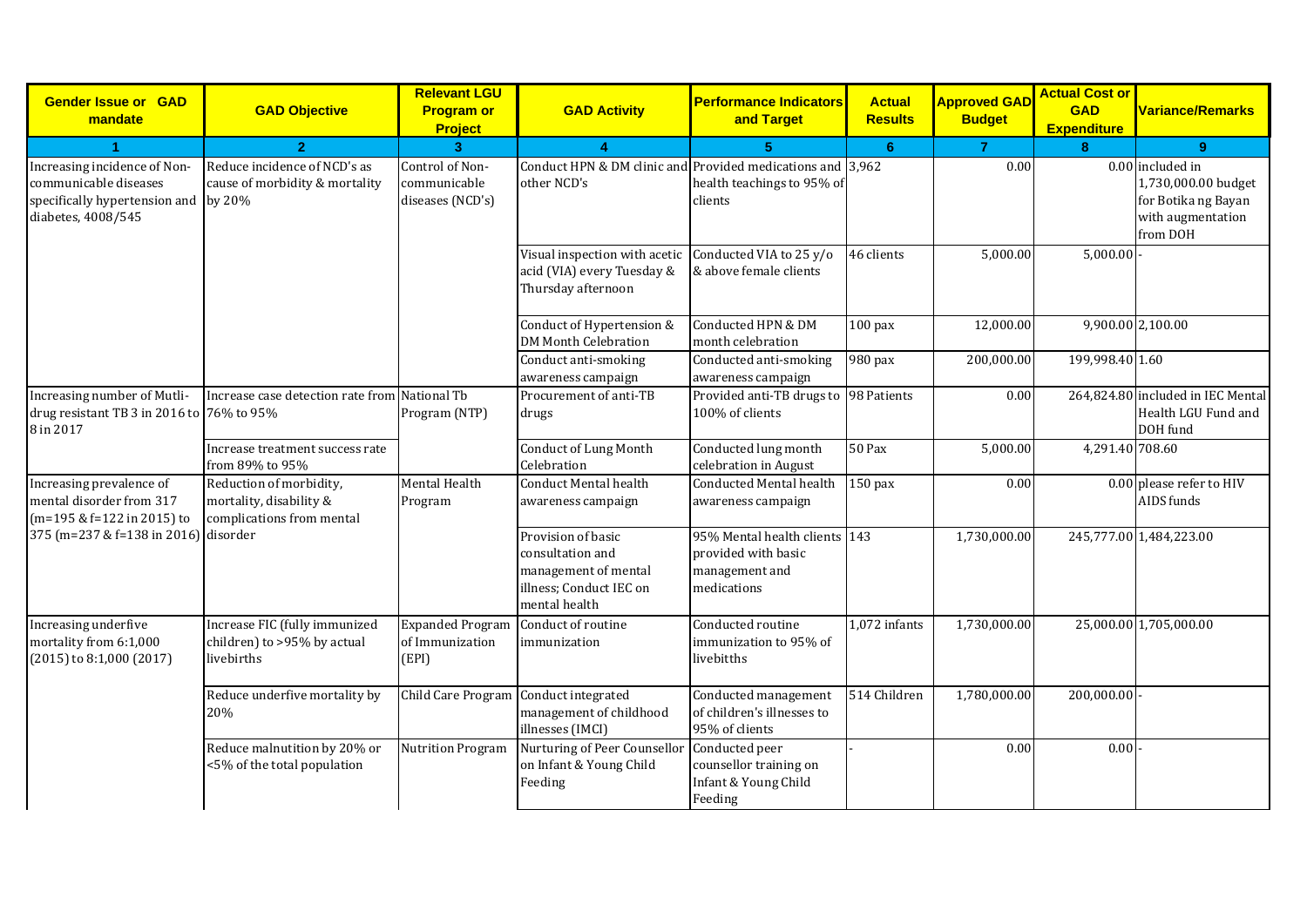| <b>Gender Issue or GAD</b><br>mandate                                                                               | <b>GAD Objective</b>                                                            | <b>Relevant LGU</b><br><b>Program or</b><br><b>Project</b> | <b>GAD Activity</b>                                                                                        | <b>Performance Indicators</b><br>and Target                                           | <b>Actual</b><br><b>Results</b> | <b>Approved GAD</b><br><b>Budget</b> | <b>Actual Cost or</b><br><b>GAD</b><br><b>Expenditure</b> | <b>Variance/Remarks</b>                                                                         |
|---------------------------------------------------------------------------------------------------------------------|---------------------------------------------------------------------------------|------------------------------------------------------------|------------------------------------------------------------------------------------------------------------|---------------------------------------------------------------------------------------|---------------------------------|--------------------------------------|-----------------------------------------------------------|-------------------------------------------------------------------------------------------------|
| -1                                                                                                                  | $\overline{2}$                                                                  | 3 <sup>1</sup>                                             | $\blacktriangle$                                                                                           | 5.                                                                                    | 6                               | $\overline{7}$                       | $\mathbf{R}$                                              | $9^{\circ}$                                                                                     |
| Increasing incidence of Non-<br>communicable diseases<br>specifically hypertension and by 20%<br>diabetes, 4008/545 | Reduce incidence of NCD's as<br>cause of morbidity & mortality                  | Control of Non-<br>communicable<br>diseases (NCD's)        | Conduct HPN & DM clinic and Provided medications and 3,962<br>other NCD's                                  | health teachings to 95% of<br>clients                                                 |                                 | 0.00                                 |                                                           | 0.00 included in<br>1,730,000.00 budget<br>for Botika ng Bayan<br>with augmentation<br>from DOH |
|                                                                                                                     |                                                                                 |                                                            | Visual inspection with acetic<br>acid (VIA) every Tuesday &<br>Thursday afternoon                          | Conducted VIA to 25 y/o<br>& above female clients                                     | 46 clients                      | 5,000.00                             | 5,000.00                                                  |                                                                                                 |
|                                                                                                                     |                                                                                 |                                                            | Conduct of Hypertension &<br><b>DM Month Celebration</b>                                                   | Conducted HPN & DM<br>month celebration                                               | $100$ pax                       | 12,000.00                            |                                                           | 9,900.00 2,100.00                                                                               |
|                                                                                                                     |                                                                                 |                                                            | Conduct anti-smoking<br>awareness campaign                                                                 | Conducted anti-smoking<br>awareness campaign                                          | 980 pax                         | 200,000.00                           | 199,998.40 1.60                                           |                                                                                                 |
| Increasing number of Mutli-<br>drug resistant TB 3 in 2016 to 76% to 95%<br>8 in 2017                               | Increase case detection rate from National Tb                                   | Program (NTP)                                              | Procurement of anti-TB<br>drugs                                                                            | Provided anti-TB drugs to 98 Patients<br>100% of clients                              |                                 | 0.00                                 |                                                           | 264,824.80 included in IEC Mental<br>Health LGU Fund and<br>DOH fund                            |
|                                                                                                                     | Increase treatment success rate<br>from 89% to 95%                              |                                                            | <b>Conduct of Lung Month</b><br>Celebration                                                                | Conducted lung month<br>celebration in August                                         | <b>50 Pax</b>                   | 5,000.00                             | 4,291.40 708.60                                           |                                                                                                 |
| Increasing prevalence of<br>mental disorder from 317<br>(m=195 & f=122 in 2015) to                                  | Reduction of morbidity,<br>mortality, disability &<br>complications from mental | Mental Health<br>Program                                   | <b>Conduct Mental health</b><br>awareness campaign                                                         | <b>Conducted Mental health</b><br>awareness campaign                                  | $150$ pax                       | 0.00                                 |                                                           | 0.00 please refer to HIV<br>AIDS funds                                                          |
| 375 (m=237 & f=138 in 2016) disorder                                                                                |                                                                                 |                                                            | Provision of basic<br>consultation and<br>management of mental<br>illness; Conduct IEC on<br>mental health | 95% Mental health clients 143<br>provided with basic<br>management and<br>medications |                                 | 1,730,000.00                         |                                                           | 245,777.00 1,484,223.00                                                                         |
| Increasing underfive<br>mortality from 6:1,000<br>(2015) to 8:1,000 (2017)                                          | Increase FIC (fully immunized<br>children) to >95% by actual<br>livebirths      | <b>Expanded Program</b><br>of Immunization<br>(EPI)        | Conduct of routine<br>immunization                                                                         | Conducted routine<br>immunization to 95% of<br>livebitths                             | 1,072 infants                   | 1,730,000.00                         |                                                           | 25,000.00 1,705,000.00                                                                          |
|                                                                                                                     | Reduce underfive mortality by<br>20%                                            | Child Care Program                                         | Conduct integrated<br>management of childhood<br>illnesses (IMCI)                                          | Conducted management<br>of children's illnesses to<br>95% of clients                  | 514 Children                    | 1,780,000.00                         | 200,000.00                                                |                                                                                                 |
|                                                                                                                     | Reduce malnutition by 20% or<br><5% of the total population                     | <b>Nutrition Program</b>                                   | Nurturing of Peer Counsellor<br>on Infant & Young Child<br>Feeding                                         | Conducted peer<br>counsellor training on<br>Infant & Young Child<br>Feeding           |                                 | 0.00                                 | 0.00                                                      |                                                                                                 |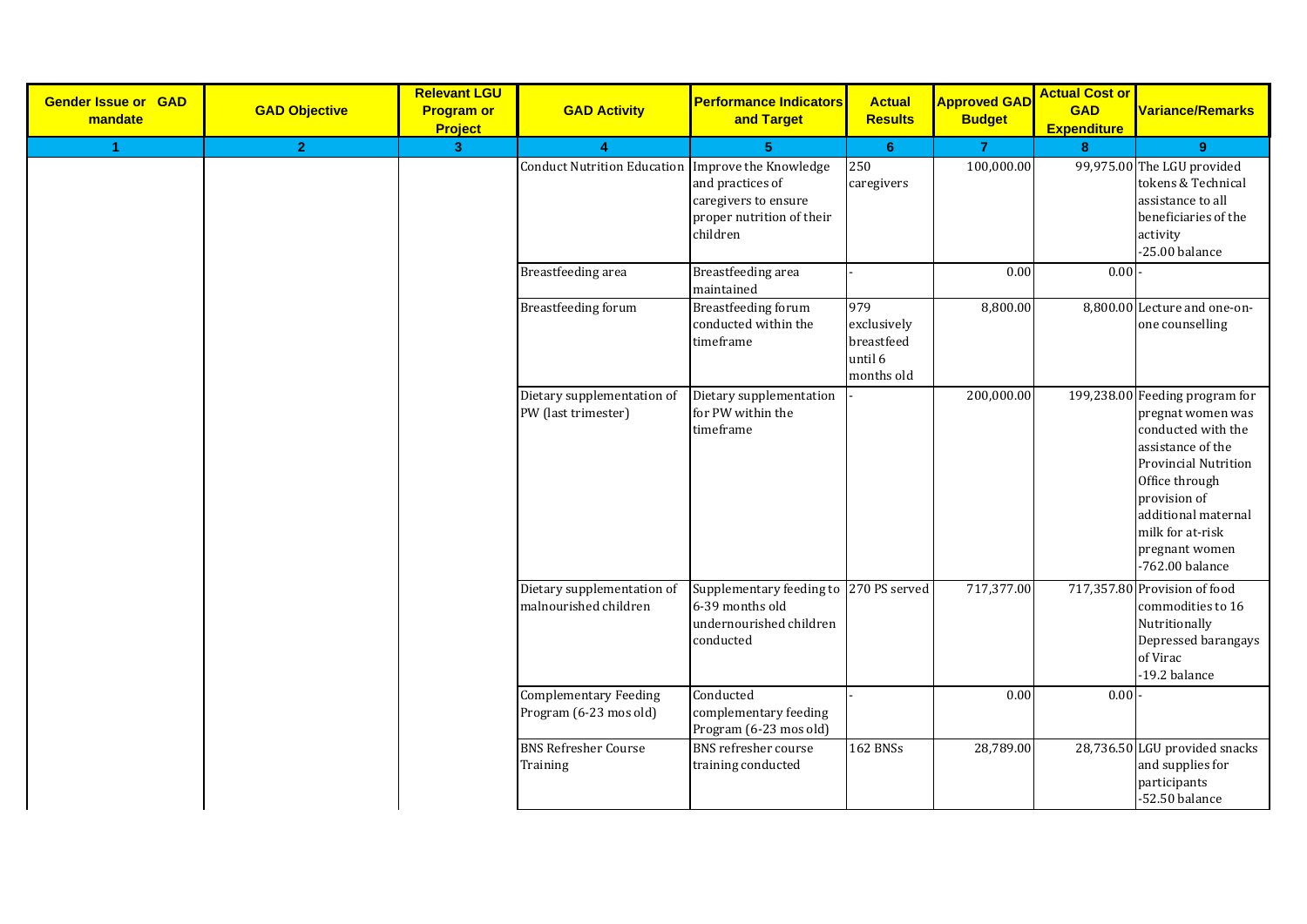| <b>Gender Issue or GAD</b><br>mandate | <b>GAD Objective</b> | <b>Relevant LGU</b><br><b>Program or</b><br><b>Project</b> | <b>GAD Activity</b>                                    | <b>Performance Indicators</b><br>and Target                                                       | <b>Actual</b><br><b>Results</b>                           | <b>Approved GAD</b><br><b>Budget</b> | <b>Actual Cost or</b><br><b>GAD</b><br><b>Expenditure</b> | <b>Variance/Remarks</b>                                                                                                                                                                                                                           |
|---------------------------------------|----------------------|------------------------------------------------------------|--------------------------------------------------------|---------------------------------------------------------------------------------------------------|-----------------------------------------------------------|--------------------------------------|-----------------------------------------------------------|---------------------------------------------------------------------------------------------------------------------------------------------------------------------------------------------------------------------------------------------------|
| 1                                     | 2 <sup>1</sup>       | 3 <sup>°</sup>                                             | 4                                                      | 5 <sup>5</sup>                                                                                    | 6                                                         | $\overline{7}$                       | $\bf{8}$                                                  | 9                                                                                                                                                                                                                                                 |
|                                       |                      |                                                            | Conduct Nutrition Education Improve the Knowledge      | and practices of<br>caregivers to ensure<br>proper nutrition of their<br>children                 | 250<br>caregivers                                         | 100,000.00                           |                                                           | 99,975.00 The LGU provided<br>tokens & Technical<br>assistance to all<br>beneficiaries of the<br>activity<br>-25.00 balance                                                                                                                       |
|                                       |                      |                                                            | Breastfeeding area                                     | Breastfeeding area<br>maintained                                                                  |                                                           | 0.00                                 | 0.00                                                      |                                                                                                                                                                                                                                                   |
|                                       |                      |                                                            | <b>Breastfeeding forum</b>                             | <b>Breastfeeding forum</b><br>conducted within the<br>timeframe                                   | 979<br>exclusively<br>breastfeed<br>until 6<br>months old | 8,800.00                             |                                                           | 8,800.00 Lecture and one-on-<br>one counselling                                                                                                                                                                                                   |
|                                       |                      |                                                            | Dietary supplementation of<br>PW (last trimester)      | Dietary supplementation<br>for PW within the<br>timeframe                                         |                                                           | 200,000.00                           |                                                           | 199,238.00 Feeding program for<br>pregnat women was<br>conducted with the<br>assistance of the<br><b>Provincial Nutrition</b><br>Office through<br>provision of<br>additional maternal<br>milk for at-risk<br>pregnant women<br>$-762.00$ balance |
|                                       |                      |                                                            | Dietary supplementation of<br>malnourished children    | Supplementary feeding to 270 PS served<br>6-39 months old<br>undernourished children<br>conducted |                                                           | 717,377.00                           |                                                           | 717,357.80 Provision of food<br>commodities to 16<br>Nutritionally<br>Depressed barangays<br>of Virac<br>-19.2 balance                                                                                                                            |
|                                       |                      |                                                            | <b>Complementary Feeding</b><br>Program (6-23 mos old) | Conducted<br>complementary feeding<br>Program (6-23 mos old)                                      |                                                           | 0.00                                 | 0.00                                                      |                                                                                                                                                                                                                                                   |
|                                       |                      |                                                            | <b>BNS Refresher Course</b><br>Training                | <b>BNS</b> refresher course<br>training conducted                                                 | <b>162 BNSs</b>                                           | 28,789.00                            |                                                           | 28,736.50 LGU provided snacks<br>and supplies for<br>participants<br>$-52.50$ balance                                                                                                                                                             |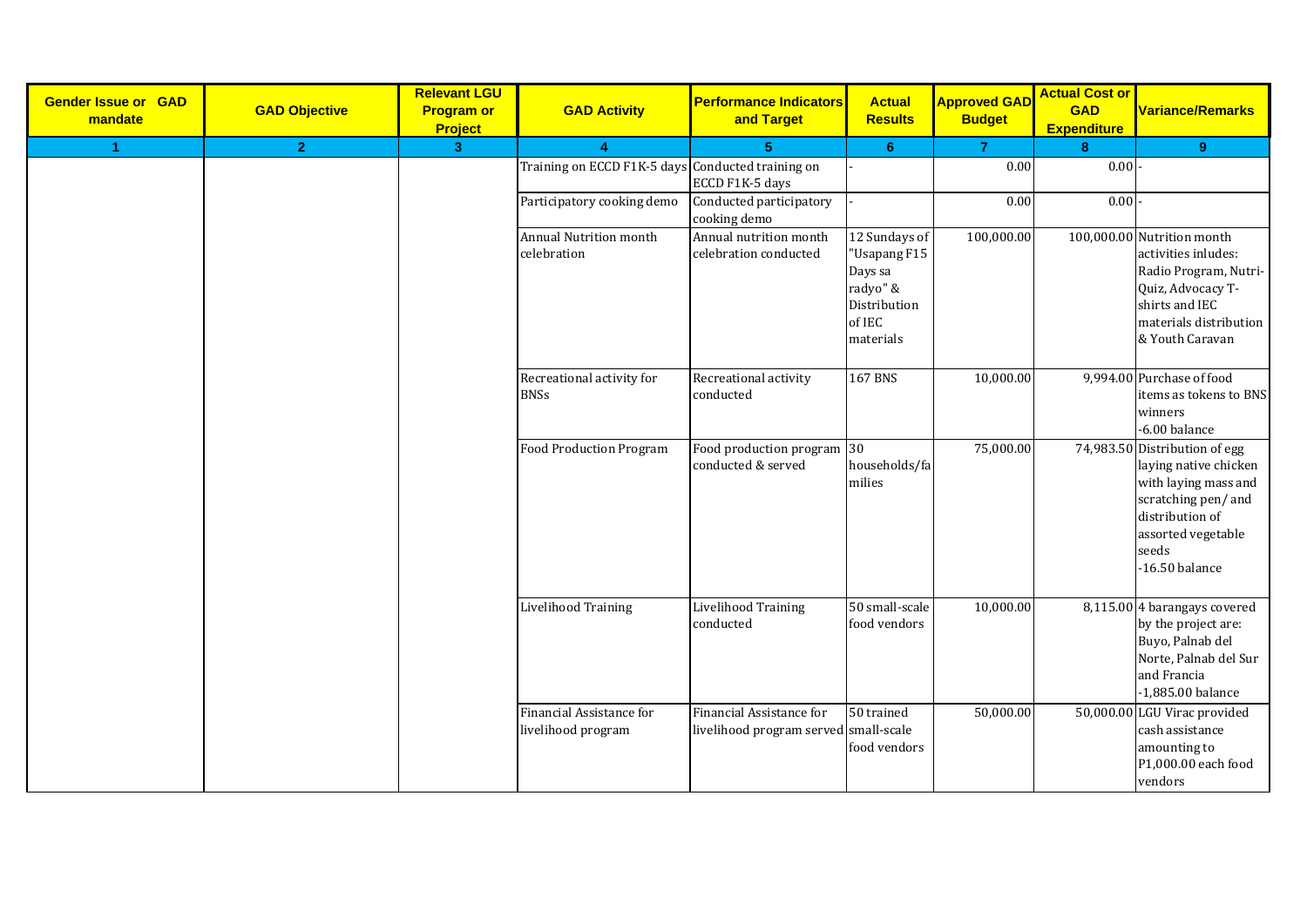| <b>Gender Issue or GAD</b><br>mandate | <b>GAD Objective</b> | <b>Relevant LGU</b><br><b>Program or</b><br>Project | <b>GAD Activity</b>                               | <b>Performance Indicators</b><br>and Target                       | <b>Actual</b><br><b>Results</b>                                                             | <b>Approved GAD</b><br><b>Budget</b> | <b>Actual Cost or</b><br><b>GAD</b><br><b>Expenditure</b> | Variance/Remarks                                                                                                                                                           |
|---------------------------------------|----------------------|-----------------------------------------------------|---------------------------------------------------|-------------------------------------------------------------------|---------------------------------------------------------------------------------------------|--------------------------------------|-----------------------------------------------------------|----------------------------------------------------------------------------------------------------------------------------------------------------------------------------|
| $\mathbf{1}$                          | 2 <sup>1</sup>       | $\overline{3}$                                      | $\overline{4}$                                    | 5.                                                                | 6 <sup>°</sup>                                                                              | $\overline{7}$                       | 8                                                         | 9 <sup>°</sup>                                                                                                                                                             |
|                                       |                      |                                                     | Training on ECCD F1K-5 days Conducted training on | ECCD F1K-5 days                                                   |                                                                                             | 0.00                                 | 0.00                                                      |                                                                                                                                                                            |
|                                       |                      |                                                     | Participatory cooking demo                        | Conducted participatory<br>cooking demo                           |                                                                                             | 0.00                                 | 0.00                                                      |                                                                                                                                                                            |
|                                       |                      |                                                     | Annual Nutrition month<br>celebration             | Annual nutrition month<br>celebration conducted                   | 12 Sundays of<br>"Usapang F15<br>Days sa<br>radyo" &<br>Distribution<br>of IEC<br>materials | 100,000.00                           |                                                           | 100,000.00 Nutrition month<br>activities inludes:<br>Radio Program, Nutri-<br>Quiz, Advocacy T-<br>shirts and IEC<br>materials distribution<br>& Youth Caravan             |
|                                       |                      |                                                     | Recreational activity for<br><b>BNSs</b>          | Recreational activity<br>conducted                                | $167$ BNS                                                                                   | 10,000.00                            |                                                           | 9,994.00 Purchase of food<br>items as tokens to BNS<br>winners<br>$-6.00$ balance                                                                                          |
|                                       |                      |                                                     | <b>Food Production Program</b>                    | Food production program<br>conducted & served                     | 30<br>households/fa<br>milies                                                               | 75,000.00                            |                                                           | 74,983.50 Distribution of egg<br>laying native chicken<br>with laying mass and<br>scratching pen/and<br>distribution of<br>assorted vegetable<br>seeds<br>$-16.50$ balance |
|                                       |                      |                                                     | <b>Livelihood Training</b>                        | <b>Livelihood Training</b><br>conducted                           | 50 small-scale<br>food vendors                                                              | 10,000.00                            |                                                           | 8,115.00 4 barangays covered<br>by the project are:<br>Buyo, Palnab del<br>Norte, Palnab del Sur<br>and Francia<br>-1,885.00 balance                                       |
|                                       |                      |                                                     | Financial Assistance for<br>livelihood program    | Financial Assistance for<br>livelihood program served small-scale | 50 trained<br>food vendors                                                                  | 50,000.00                            |                                                           | 50,000.00 LGU Virac provided<br>cash assistance<br>amounting to<br>P1,000.00 each food<br>vendors                                                                          |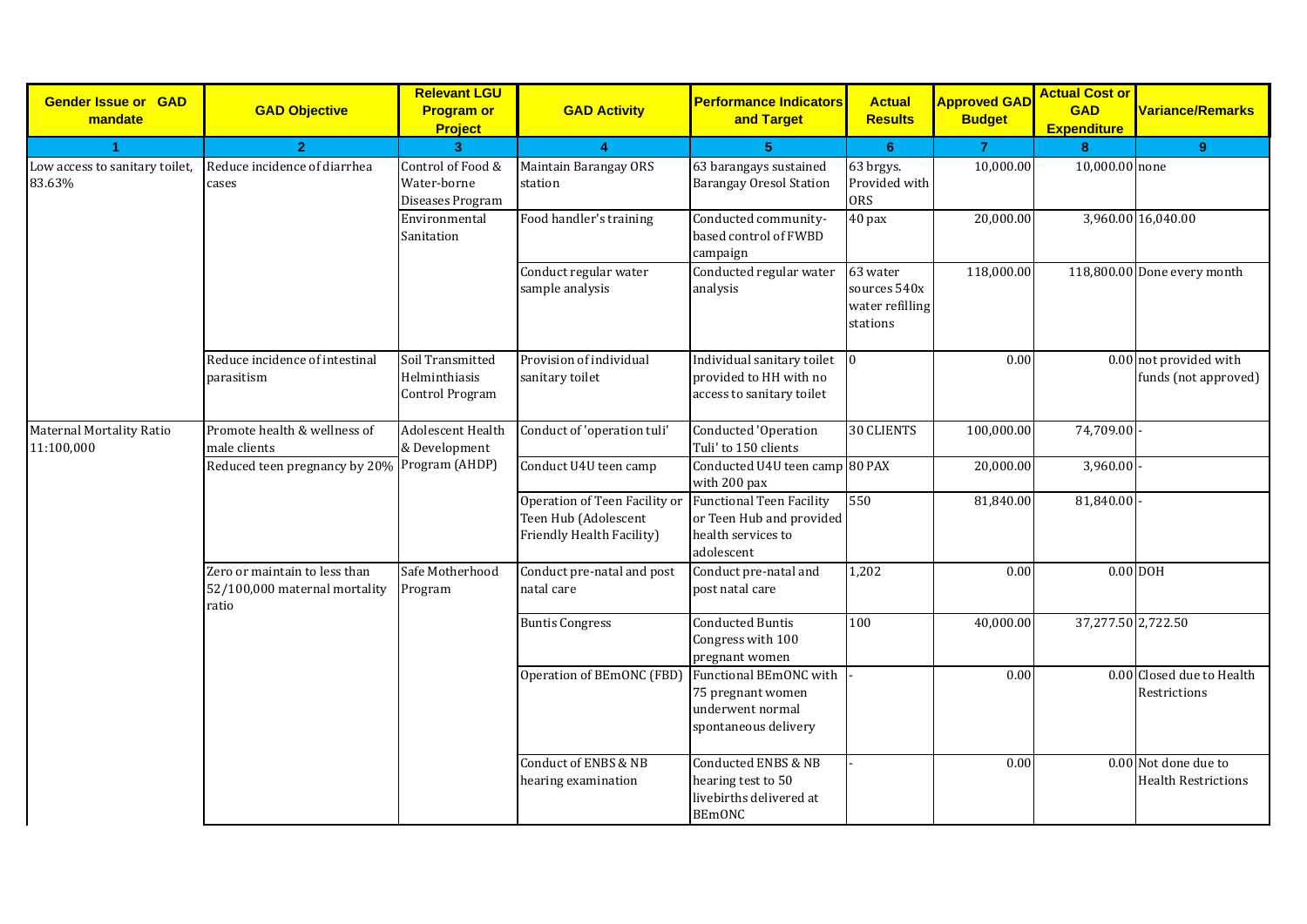| <b>Gender Issue or GAD</b><br>mandate         | <b>GAD Objective</b>                                                    | <b>Relevant LGU</b><br><b>Program or</b><br><b>Project</b> | <b>GAD Activity</b>                                                                | <b>Performance Indicators</b><br>and Target                                                      | <b>Actual</b><br><b>Results</b>                         | <b>Approved GAD</b><br><b>Budget</b> | <b>Actual Cost or</b><br><b>GAD</b><br><b>Expenditure</b> | <b>Variance/Remarks</b>                            |
|-----------------------------------------------|-------------------------------------------------------------------------|------------------------------------------------------------|------------------------------------------------------------------------------------|--------------------------------------------------------------------------------------------------|---------------------------------------------------------|--------------------------------------|-----------------------------------------------------------|----------------------------------------------------|
| 1                                             | $\overline{2}$                                                          | $\overline{3}$                                             | 4                                                                                  | 5                                                                                                | 6                                                       | $\overline{7}$                       | 8                                                         | 9 <sup>°</sup>                                     |
| Low access to sanitary toilet,<br>83.63%      | Reduce incidence of diarrhea<br>cases                                   | Control of Food &<br>Water-borne<br>Diseases Program       | Maintain Barangay ORS<br>station                                                   | 63 barangays sustained<br><b>Barangay Oresol Station</b>                                         | 63 brgys.<br>Provided with<br><b>ORS</b>                | 10,000.00                            | 10,000.00 none                                            |                                                    |
|                                               |                                                                         | Environmental<br>Sanitation                                | Food handler's training                                                            | Conducted community-<br>based control of FWBD<br>campaign                                        | 40 pax                                                  | 20,000.00                            |                                                           | 3,960.00 16,040.00                                 |
|                                               |                                                                         |                                                            | Conduct regular water<br>sample analysis                                           | Conducted regular water<br>analysis                                                              | 63 water<br>sources 540x<br>water refilling<br>stations | 118,000.00                           |                                                           | 118,800.00 Done every month                        |
|                                               | Reduce incidence of intestinal<br>parasitism                            | Soil Transmitted<br>Helminthiasis<br>Control Program       | Provision of individual<br>sanitary toilet                                         | Individual sanitary toilet 0<br>provided to HH with no<br>access to sanitary toilet              |                                                         | 0.00                                 |                                                           | 0.00 not provided with<br>funds (not approved)     |
| <b>Maternal Mortality Ratio</b><br>11:100,000 | Promote health & wellness of<br>male clients                            | <b>Adolescent Health</b><br>& Development                  | Conduct of 'operation tuli'                                                        | Conducted 'Operation<br>Tuli' to 150 clients                                                     | <b>30 CLIENTS</b>                                       | 100,000.00                           | 74,709.00                                                 |                                                    |
|                                               | Reduced teen pregnancy by 20% Program (AHDP)                            |                                                            | Conduct U4U teen camp                                                              | Conducted U4U teen camp 80 PAX<br>with 200 pax                                                   |                                                         | 20,000.00                            | 3,960.00                                                  |                                                    |
|                                               |                                                                         |                                                            | Operation of Teen Facility or<br>Teen Hub (Adolescent<br>Friendly Health Facility) | <b>Functional Teen Facility</b><br>or Teen Hub and provided<br>health services to<br>adolescent  | 550                                                     | 81,840.00                            | 81,840.00                                                 |                                                    |
|                                               | Zero or maintain to less than<br>52/100,000 maternal mortality<br>ratio | Safe Motherhood<br>Program                                 | Conduct pre-natal and post<br>natal care                                           | Conduct pre-natal and<br>post natal care                                                         | 1,202                                                   | 0.00                                 | $0.00$ DOH                                                |                                                    |
|                                               |                                                                         |                                                            | <b>Buntis Congress</b>                                                             | <b>Conducted Buntis</b><br>Congress with 100<br>pregnant women                                   | 100                                                     | 40,000.00                            | 37,277.50 2,722.50                                        |                                                    |
|                                               |                                                                         |                                                            | Operation of BEmONC (FBD)                                                          | Functional BEmONC with<br>75 pregnant women<br>underwent normal<br>spontaneous delivery          |                                                         | 0.00                                 |                                                           | 0.00 Closed due to Health<br>Restrictions          |
|                                               |                                                                         |                                                            | Conduct of ENBS & NB<br>hearing examination                                        | <b>Conducted ENBS &amp; NB</b><br>hearing test to 50<br>livebirths delivered at<br><b>BEmONC</b> |                                                         | 0.00                                 |                                                           | 0.00 Not done due to<br><b>Health Restrictions</b> |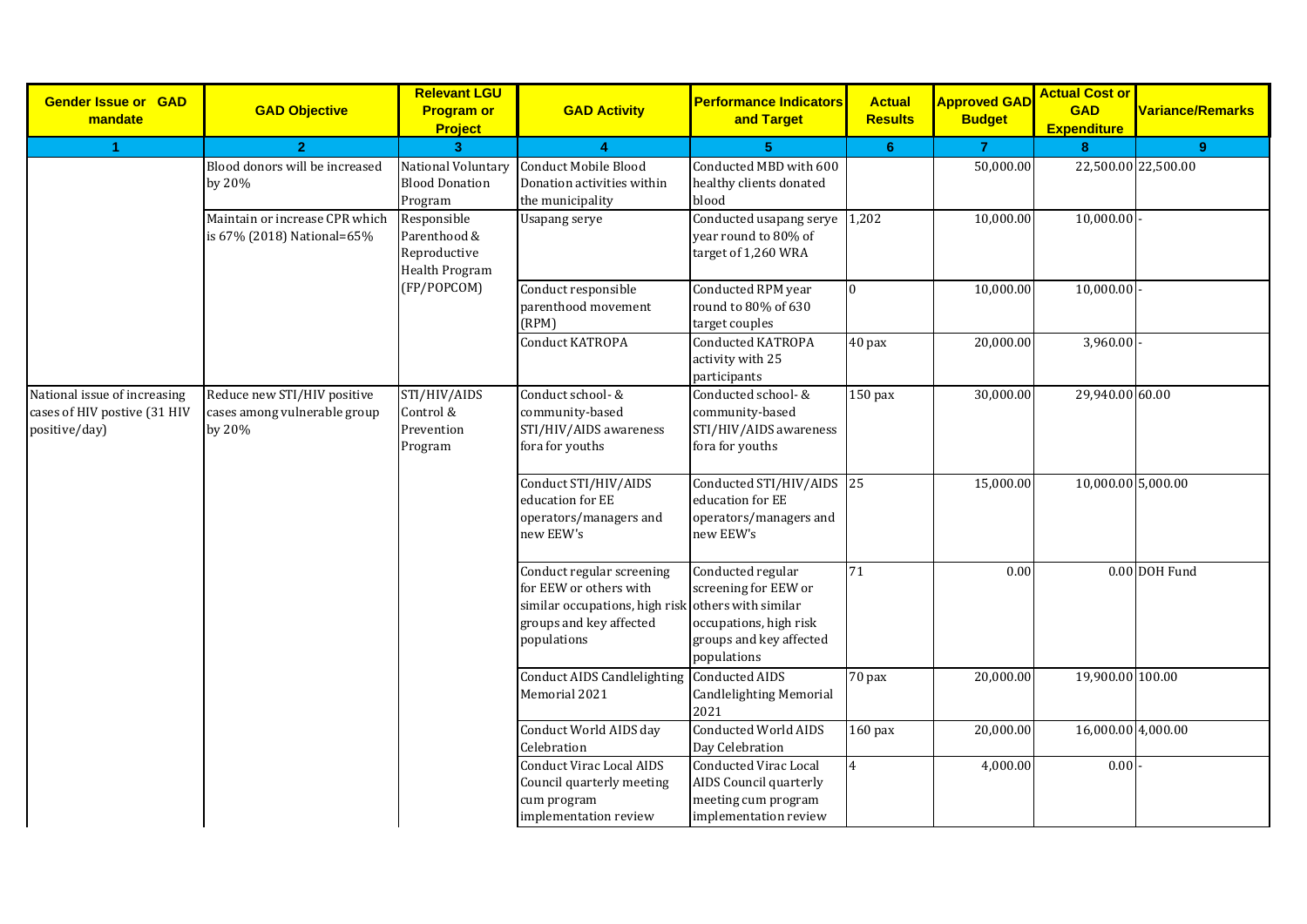| <b>Gender Issue or GAD</b><br>mandate                                         | <b>GAD Objective</b>                                                       | <b>Relevant LGU</b><br><b>Program or</b><br><b>Project</b>            | <b>GAD Activity</b>                                                                                                                                 | <b>Performance Indicators</b><br>and Target                                                                   | <b>Actual</b><br><b>Results</b> | <b>Approved GAD</b><br><b>Budget</b> | <b>Actual Cost or</b><br><b>GAD</b><br><b>Expenditure</b> | Variance/Remarks |
|-------------------------------------------------------------------------------|----------------------------------------------------------------------------|-----------------------------------------------------------------------|-----------------------------------------------------------------------------------------------------------------------------------------------------|---------------------------------------------------------------------------------------------------------------|---------------------------------|--------------------------------------|-----------------------------------------------------------|------------------|
| 1                                                                             | $\overline{2}$                                                             | $\overline{3}$                                                        | $\boldsymbol{\Lambda}$                                                                                                                              | 5                                                                                                             | $6\phantom{1}6$                 | $\overline{7}$                       | 8                                                         | 9 <sup>°</sup>   |
|                                                                               | Blood donors will be increased<br>by 20%<br>Maintain or increase CPR which | National Voluntary<br><b>Blood Donation</b><br>Program<br>Responsible | Conduct Mobile Blood<br>Donation activities within<br>the municipality<br><b>Usapang serye</b>                                                      | Conducted MBD with 600<br>healthy clients donated<br>blood<br>Conducted usapang serye $1,202$                 |                                 | 50,000.00<br>10,000.00               | 22,500.00 22,500.00<br>10,000.00                          |                  |
|                                                                               | is 67% (2018) National=65%                                                 | Parenthood &<br>Reproductive<br><b>Health Program</b>                 |                                                                                                                                                     | year round to 80% of<br>target of 1,260 WRA                                                                   |                                 |                                      |                                                           |                  |
|                                                                               |                                                                            | (FP/POPCOM)                                                           | Conduct responsible<br>parenthood movement<br>(RPM)                                                                                                 | Conducted RPM year<br>round to 80% of 630<br>target couples                                                   | $\overline{0}$                  | 10,000.00                            | 10,000.00                                                 |                  |
|                                                                               |                                                                            |                                                                       | Conduct KATROPA                                                                                                                                     | <b>Conducted KATROPA</b><br>activity with 25<br>participants                                                  | 40 pax                          | 20,000.00                            | 3,960.00                                                  |                  |
| National issue of increasing<br>cases of HIV postive (31 HIV<br>positive/day) | Reduce new STI/HIV positive<br>cases among vulnerable group<br>by 20%      | STI/HIV/AIDS<br>Control &<br>Prevention<br>Program                    | Conduct school- &<br>community-based<br>STI/HIV/AIDS awareness<br>fora for youths                                                                   | Conducted school- &<br>community-based<br>STI/HIV/AIDS awareness<br>fora for youths                           | $150$ pax                       | 30,000.00                            | 29,940.00 60.00                                           |                  |
|                                                                               |                                                                            |                                                                       | Conduct STI/HIV/AIDS<br>education for EE<br>operators/managers and<br>new EEW's                                                                     | Conducted STI/HIV/AIDS 25<br>education for EE<br>operators/managers and<br>new EEW's                          |                                 | 15,000.00                            | 10,000.00 5,000.00                                        |                  |
|                                                                               |                                                                            |                                                                       | Conduct regular screening<br>for EEW or others with<br>similar occupations, high risk others with similar<br>groups and key affected<br>populations | Conducted regular<br>screening for EEW or<br>occupations, high risk<br>groups and key affected<br>populations | 71                              | $0.00\,$                             |                                                           | 0.00 DOH Fund    |
|                                                                               |                                                                            |                                                                       | <b>Conduct AIDS Candlelighting</b><br>Memorial 2021                                                                                                 | Conducted AIDS<br><b>Candlelighting Memorial</b><br>2021                                                      | 70 pax                          | 20,000.00                            | 19,900.00 100.00                                          |                  |
|                                                                               |                                                                            |                                                                       | Conduct World AIDS day<br>Celebration                                                                                                               | <b>Conducted World AIDS</b><br>Day Celebration                                                                | 160 pax                         | 20,000.00                            | 16,000.00 4,000.00                                        |                  |
|                                                                               |                                                                            |                                                                       | <b>Conduct Virac Local AIDS</b><br>Council quarterly meeting<br>cum program<br>implementation review                                                | <b>Conducted Virac Local</b><br>AIDS Council quarterly<br>meeting cum program<br>implementation review        | $\overline{4}$                  | 4,000.00                             | 0.00                                                      |                  |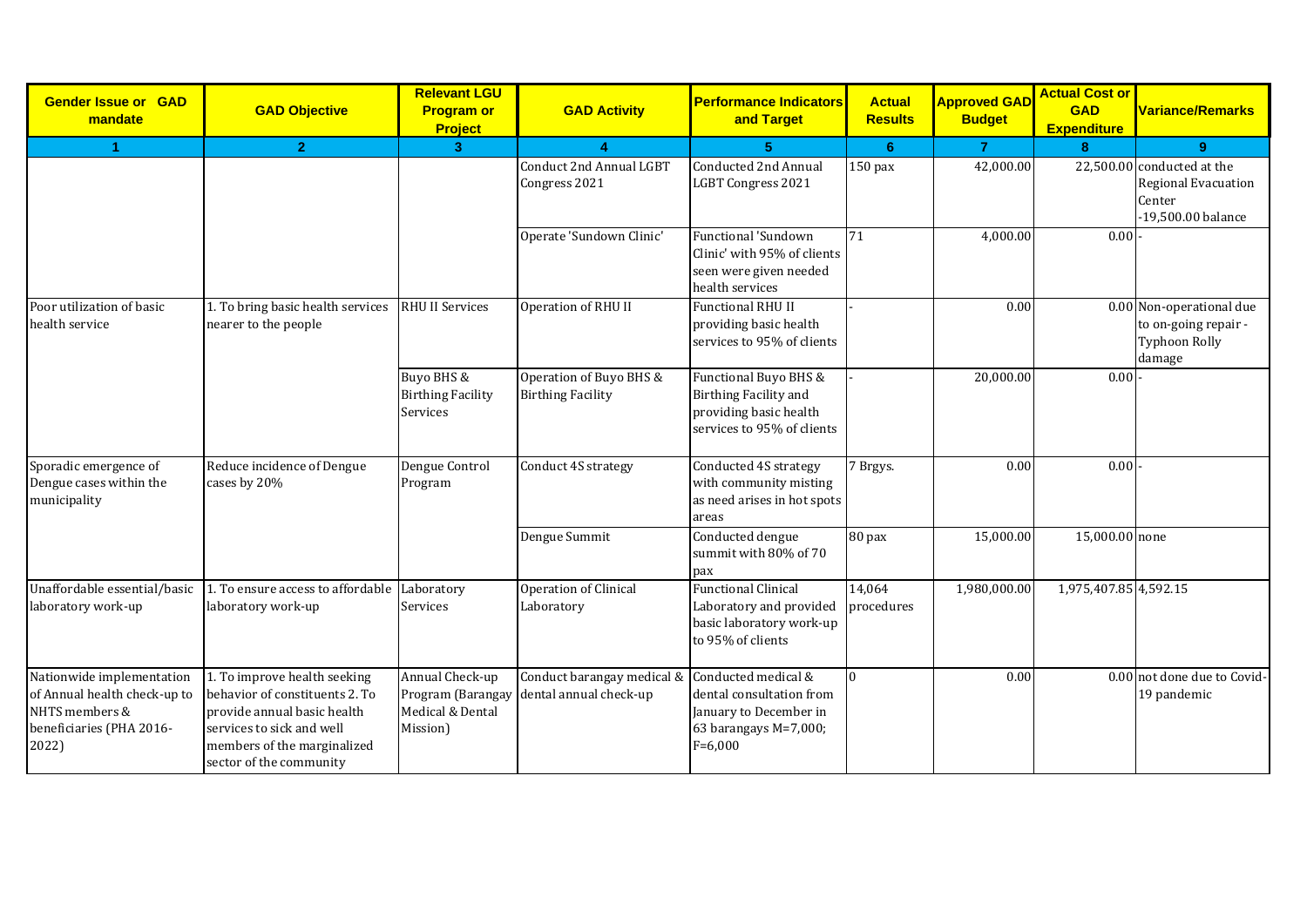| <b>Gender Issue or GAD</b><br>mandate                                                                            | <b>GAD Objective</b>                                                                                                                                                                 | <b>Relevant LGU</b><br><b>Program or</b><br>Project                  | <b>GAD Activity</b>                                  | <b>Performance Indicators</b><br>and Target                                                                     | <b>Actual</b><br><b>Results</b> | <b>Approved GAD</b><br><b>Budget</b> | <b>Actual Cost or</b><br><b>GAD</b><br><b>Expenditure</b> | <b>Variance/Remarks</b>                                                                  |
|------------------------------------------------------------------------------------------------------------------|--------------------------------------------------------------------------------------------------------------------------------------------------------------------------------------|----------------------------------------------------------------------|------------------------------------------------------|-----------------------------------------------------------------------------------------------------------------|---------------------------------|--------------------------------------|-----------------------------------------------------------|------------------------------------------------------------------------------------------|
| 1                                                                                                                | $\overline{2}$                                                                                                                                                                       | 3 <sup>2</sup>                                                       | $\boldsymbol{\Lambda}$                               | 5                                                                                                               | 6                               | $\overline{7}$                       | 8                                                         | 9 <sup>°</sup>                                                                           |
|                                                                                                                  |                                                                                                                                                                                      |                                                                      | Conduct 2nd Annual LGBT<br>Congress 2021             | <b>Conducted 2nd Annual</b><br><b>LGBT Congress 2021</b>                                                        | $150$ pax                       | 42,000.00                            |                                                           | 22,500.00 conducted at the<br><b>Regional Evacuation</b><br>Center<br>-19,500.00 balance |
|                                                                                                                  |                                                                                                                                                                                      |                                                                      | Operate 'Sundown Clinic'                             | Functional 'Sundown<br>Clinic' with 95% of clients<br>seen were given needed<br>health services                 | 71                              | 4,000.00                             | 0.00                                                      |                                                                                          |
| Poor utilization of basic<br>health service                                                                      | 1. To bring basic health services<br>nearer to the people                                                                                                                            | <b>RHU II Services</b>                                               | Operation of RHU II                                  | <b>Functional RHU II</b><br>providing basic health<br>services to 95% of clients                                |                                 | 0.00                                 |                                                           | 0.00 Non-operational due<br>to on-going repair -<br><b>Typhoon Rolly</b><br>damage       |
|                                                                                                                  |                                                                                                                                                                                      | Buyo BHS &<br><b>Birthing Facility</b><br>Services                   | Operation of Buyo BHS &<br><b>Birthing Facility</b>  | Functional Buyo BHS &<br><b>Birthing Facility and</b><br>providing basic health<br>services to 95% of clients   |                                 | 20,000.00                            | 0.00                                                      |                                                                                          |
| Sporadic emergence of<br>Dengue cases within the<br>municipality                                                 | Reduce incidence of Dengue<br>cases by 20%                                                                                                                                           | Dengue Control<br>Program                                            | Conduct 4S strategy                                  | Conducted 4S strategy<br>with community misting<br>as need arises in hot spots<br>areas                         | 7 Brgys.                        | 0.00                                 | 0.00                                                      |                                                                                          |
|                                                                                                                  |                                                                                                                                                                                      |                                                                      | Dengue Summit                                        | Conducted dengue<br>summit with 80% of 70<br>pax                                                                | 80 pax                          | 15,000.00                            | 15,000.00 none                                            |                                                                                          |
| Unaffordable essential/basic<br>laboratory work-up                                                               | 1. To ensure access to affordable Laboratory<br>laboratory work-up                                                                                                                   | Services                                                             | Operation of Clinical<br>Laboratory                  | <b>Functional Clinical</b><br>Laboratory and provided<br>basic laboratory work-up<br>to 95% of clients          | 14,064<br>procedures            | 1,980,000.00                         | 1,975,407.85 4,592.15                                     |                                                                                          |
| Nationwide implementation<br>of Annual health check-up to<br>NHTS members &<br>beneficiaries (PHA 2016-<br>2022) | 1. To improve health seeking<br>behavior of constituents 2. To<br>provide annual basic health<br>services to sick and well<br>members of the marginalized<br>sector of the community | Annual Check-up<br>Program (Barangay<br>Medical & Dental<br>Mission) | Conduct barangay medical &<br>dental annual check-up | Conducted medical &<br>dental consultation from<br>January to December in<br>63 barangays M=7,000;<br>$F=6,000$ | $\Omega$                        | 0.00                                 |                                                           | 0.00 not done due to Covid-<br>19 pandemic                                               |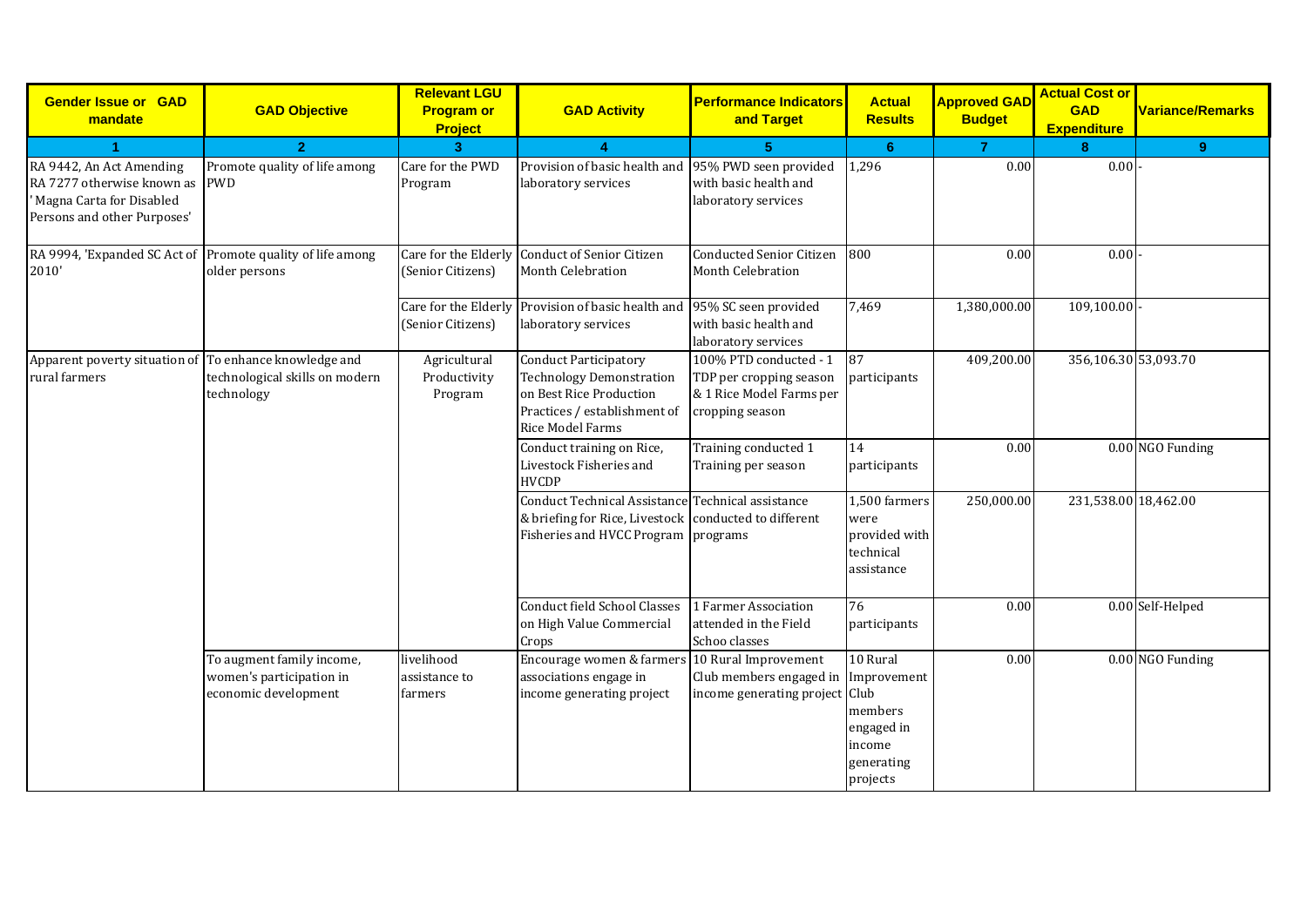| <b>Gender Issue or GAD</b><br>mandate                                                                             | <b>GAD Objective</b>                                                          | <b>Relevant LGU</b><br><b>Program or</b><br><b>Project</b> | <b>GAD Activity</b>                                                                                                                                   | <b>Performance Indicators</b><br>and Target                                                      | <b>Actual</b><br><b>Results</b>                                       | <b>Approved GAD</b><br><b>Budget</b> | <b>Actual Cost or</b><br><b>GAD</b><br><b>Expenditure</b> | <b>Variance/Remarks</b> |
|-------------------------------------------------------------------------------------------------------------------|-------------------------------------------------------------------------------|------------------------------------------------------------|-------------------------------------------------------------------------------------------------------------------------------------------------------|--------------------------------------------------------------------------------------------------|-----------------------------------------------------------------------|--------------------------------------|-----------------------------------------------------------|-------------------------|
|                                                                                                                   | $\overline{2}$                                                                | $\overline{3}$                                             |                                                                                                                                                       | к                                                                                                | 6                                                                     | $\overline{7}$                       | 8                                                         | 9                       |
| RA 9442, An Act Amending<br>RA 7277 otherwise known as<br>Magna Carta for Disabled<br>Persons and other Purposes' | Promote quality of life among<br><b>PWD</b>                                   | Care for the PWD<br>Program                                | Provision of basic health and 95% PWD seen provided<br>laboratory services                                                                            | with basic health and<br>laboratory services                                                     | 1,296                                                                 | 0.00                                 | 0.00                                                      |                         |
| RA 9994, 'Expanded SC Act of<br>2010'                                                                             | Promote quality of life among<br>older persons                                | (Senior Citizens)                                          | Care for the Elderly Conduct of Senior Citizen<br><b>Month Celebration</b>                                                                            | <b>Conducted Senior Citizen</b><br>Month Celebration                                             | 800                                                                   | 0.00                                 | 0.00                                                      |                         |
|                                                                                                                   |                                                                               | (Senior Citizens)                                          | Care for the Elderly Provision of basic health and<br>laboratory services                                                                             | 95% SC seen provided<br>with basic health and<br>laboratory services                             | 7,469                                                                 | 1,380,000.00                         | 109,100.00                                                |                         |
| Apparent poverty situation of<br>rural farmers                                                                    | To enhance knowledge and<br>technological skills on modern<br>technology      | Agricultural<br>Productivity<br>Program                    | <b>Conduct Participatory</b><br><b>Technology Demonstration</b><br>on Best Rice Production<br>Practices / establishment of<br><b>Rice Model Farms</b> | 100% PTD conducted - 1<br>TDP per cropping season<br>& 1 Rice Model Farms per<br>cropping season | 87<br>participants                                                    | 409,200.00                           | 356,106.30 53,093.70                                      |                         |
|                                                                                                                   |                                                                               |                                                            | Conduct training on Rice,<br>Livestock Fisheries and<br><b>HVCDP</b>                                                                                  | Training conducted 1<br>Training per season                                                      | 14<br>participants                                                    | 0.00                                 |                                                           | 0.00 NGO Funding        |
|                                                                                                                   |                                                                               |                                                            | Conduct Technical Assistance Technical assistance<br>& briefing for Rice, Livestock conducted to different<br>Fisheries and HVCC Program programs     |                                                                                                  | 1,500 farmers<br>were<br>provided with<br>technical<br>assistance     | 250,000.00                           | 231,538.00 18,462.00                                      |                         |
|                                                                                                                   |                                                                               |                                                            | <b>Conduct field School Classes</b><br>on High Value Commercial<br>Crops                                                                              | 1 Farmer Association<br>attended in the Field<br>Schoo classes                                   | 76<br>participants                                                    | 0.00                                 |                                                           | 0.00 Self-Helped        |
|                                                                                                                   | To augment family income,<br>women's participation in<br>economic development | livelihood<br>assistance to<br>farmers                     | Encourage women & farmers<br>associations engage in<br>income generating project                                                                      | 10 Rural Improvement<br>Club members engaged in Improvement<br>income generating project Club    | 10 Rural<br>members<br>engaged in<br>income<br>generating<br>projects | 0.00                                 |                                                           | 0.00 NGO Funding        |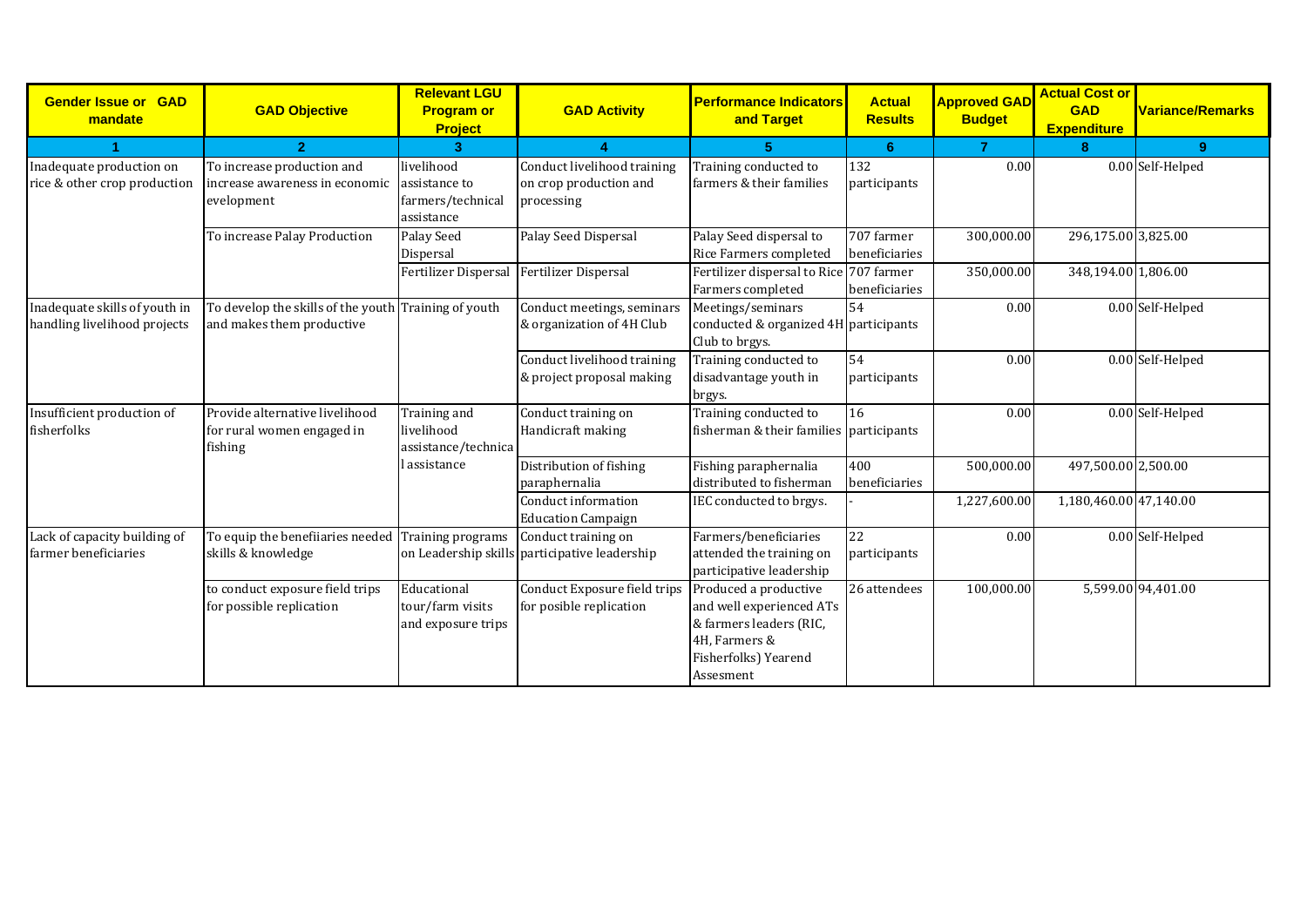| <b>Gender Issue or GAD</b><br>mandate                         | <b>GAD Objective</b>                                                              | <b>Relevant LGU</b><br><b>Program or</b><br><b>Project</b>     | <b>GAD Activity</b>                                                  | <b>Performance Indicators</b><br>and Target                                                                                        | <b>Actual</b><br><b>Results</b> | <b>Approved GAD</b><br><b>Budget</b> | <b>Actual Cost or</b><br><b>GAD</b><br><b>Expenditure</b> | <b>Variance/Remarks</b> |
|---------------------------------------------------------------|-----------------------------------------------------------------------------------|----------------------------------------------------------------|----------------------------------------------------------------------|------------------------------------------------------------------------------------------------------------------------------------|---------------------------------|--------------------------------------|-----------------------------------------------------------|-------------------------|
|                                                               | $\overline{2}$                                                                    | 3                                                              |                                                                      | 5                                                                                                                                  | 6                               | $\overline{7}$                       | 8                                                         | 9                       |
| Inadequate production on<br>rice & other crop production      | To increase production and<br>increase awareness in economic<br>evelopment        | livelihood<br>assistance to<br>farmers/technical<br>assistance | Conduct livelihood training<br>on crop production and<br>processing  | Training conducted to<br>farmers & their families                                                                                  | 132<br>participants             | 0.00                                 |                                                           | 0.00 Self-Helped        |
|                                                               | To increase Palay Production                                                      | Palay Seed<br>Dispersal                                        | Palay Seed Dispersal                                                 | Palay Seed dispersal to<br>Rice Farmers completed                                                                                  | 707 farmer<br>beneficiaries     | 300,000.00                           | 296,175.00 3,825.00                                       |                         |
|                                                               |                                                                                   | Fertilizer Dispersal Fertilizer Dispersal                      |                                                                      | Fertilizer dispersal to Rice 707 farmer<br>Farmers completed                                                                       | beneficiaries                   | 350,000.00                           | 348,194.00 1,806.00                                       |                         |
| Inadequate skills of youth in<br>handling livelihood projects | To develop the skills of the youth Training of youth<br>and makes them productive |                                                                | Conduct meetings, seminars<br>& organization of 4H Club              | Meetings/seminars<br>conducted & organized 4H participants<br>Club to brgys.                                                       | 54                              | 0.00                                 |                                                           | 0.00 Self-Helped        |
|                                                               |                                                                                   |                                                                | Conduct livelihood training<br>& project proposal making             | Training conducted to<br>disadvantage youth in<br>brgys.                                                                           | 54<br>participants              | 0.00                                 |                                                           | 0.00 Self-Helped        |
| Insufficient production of<br>fisherfolks                     | Provide alternative livelihood<br>for rural women engaged in<br>fishing           | Training and<br>livelihood<br>assistance/technica              | Conduct training on<br>Handicraft making                             | Training conducted to<br>fisherman & their families participants                                                                   | 16                              | 0.00                                 |                                                           | 0.00 Self-Helped        |
|                                                               |                                                                                   | assistance                                                     | Distribution of fishing<br>paraphernalia                             | Fishing paraphernalia<br>distributed to fisherman                                                                                  | 400<br>beneficiaries            | 500,000.00                           | 497,500.00 2,500.00                                       |                         |
|                                                               |                                                                                   |                                                                | Conduct information<br><b>Education Campaign</b>                     | IEC conducted to brgys.                                                                                                            |                                 | 1,227,600.00                         | 1,180,460.00 47,140.00                                    |                         |
| Lack of capacity building of<br>farmer beneficiaries          | To equip the benefiiaries needed<br>skills & knowledge                            | Training programs                                              | Conduct training on<br>on Leadership skills participative leadership | Farmers/beneficiaries<br>attended the training on<br>participative leadership                                                      | $\overline{22}$<br>participants | 0.00                                 |                                                           | 0.00 Self-Helped        |
|                                                               | to conduct exposure field trips<br>for possible replication                       | Educational<br>tour/farm visits<br>and exposure trips          | Conduct Exposure field trips<br>for posible replication              | Produced a productive<br>and well experienced ATs<br>& farmers leaders (RIC,<br>4H, Farmers &<br>Fisherfolks) Yearend<br>Assesment | 26 attendees                    | 100,000.00                           |                                                           | 5,599.00 94,401.00      |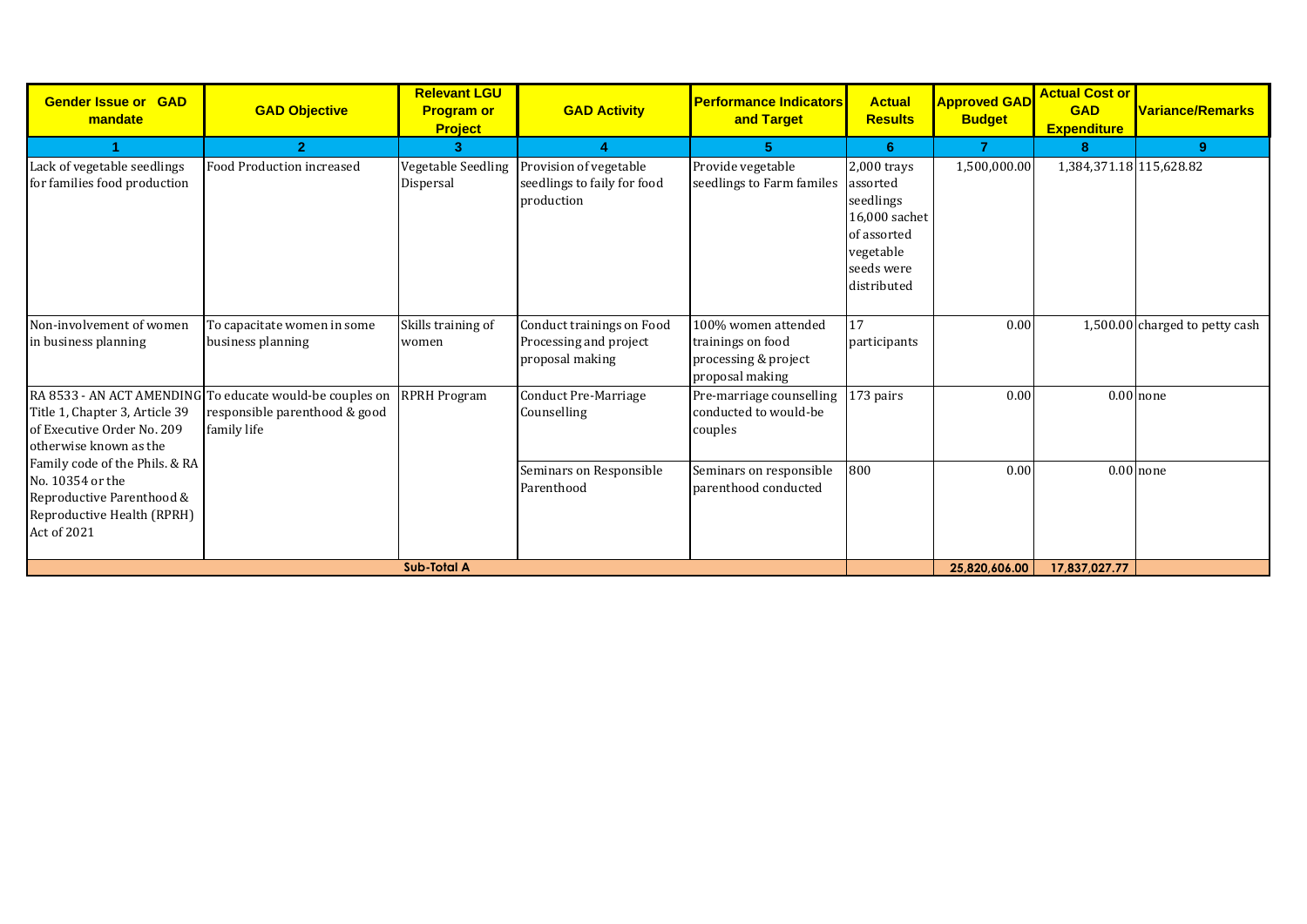| <b>Gender Issue or GAD</b><br>mandate                                                                                        | <b>GAD Objective</b>                                                                                     | <b>Relevant LGU</b><br><b>Program or</b><br><b>Project</b> | <b>GAD Activity</b>                                                    | <b>Performance Indicators</b><br>and Target                                         | <b>Actual</b><br><b>Results</b>                                                                                | <b>Approved GAD</b><br><b>Budget</b> | <b>Actual Cost or</b><br><b>GAD</b><br><b>Expenditure</b> | <b>Variance/Remarks</b>        |
|------------------------------------------------------------------------------------------------------------------------------|----------------------------------------------------------------------------------------------------------|------------------------------------------------------------|------------------------------------------------------------------------|-------------------------------------------------------------------------------------|----------------------------------------------------------------------------------------------------------------|--------------------------------------|-----------------------------------------------------------|--------------------------------|
|                                                                                                                              | $\overline{2}$                                                                                           | 3                                                          |                                                                        | 5                                                                                   | 6                                                                                                              | $\overline{7}$                       | 8                                                         | 9                              |
| Lack of vegetable seedlings<br>for families food production                                                                  | Food Production increased                                                                                | Vegetable Seedling<br>Dispersal                            | Provision of vegetable<br>seedlings to faily for food<br>production    | Provide vegetable<br>seedlings to Farm familes                                      | 2,000 trays<br>assorted<br>seedlings<br>16,000 sachet<br>of assorted<br>vegetable<br>seeds were<br>distributed | 1,500,000.00                         | 1,384,371.18 115,628.82                                   |                                |
| Non-involvement of women<br>in business planning                                                                             | To capacitate women in some<br>business planning                                                         | Skills training of<br>women                                | Conduct trainings on Food<br>Processing and project<br>proposal making | 100% women attended<br>trainings on food<br>processing & project<br>proposal making | 17<br>participants                                                                                             | 0.00                                 |                                                           | 1,500.00 charged to petty cash |
| Title 1, Chapter 3, Article 39<br>of Executive Order No. 209<br>otherwise known as the                                       | RA 8533 - AN ACT AMENDING To educate would-be couples on<br>responsible parenthood & good<br>family life | <b>RPRH Program</b>                                        | <b>Conduct Pre-Marriage</b><br>Counselling                             | Pre-marriage counselling<br>conducted to would-be<br>couples                        | 173 pairs                                                                                                      | 0.00                                 |                                                           | $0.00$ none                    |
| Family code of the Phils. & RA<br>No. 10354 or the<br>Reproductive Parenthood &<br>Reproductive Health (RPRH)<br>Act of 2021 |                                                                                                          |                                                            | Seminars on Responsible<br>Parenthood                                  | Seminars on responsible<br>parenthood conducted                                     | 800                                                                                                            | 0.00                                 |                                                           | $0.00$ none                    |
|                                                                                                                              |                                                                                                          | <b>Sub-Total A</b>                                         |                                                                        |                                                                                     |                                                                                                                | 25.820.606.00                        | 17.837.027.77                                             |                                |